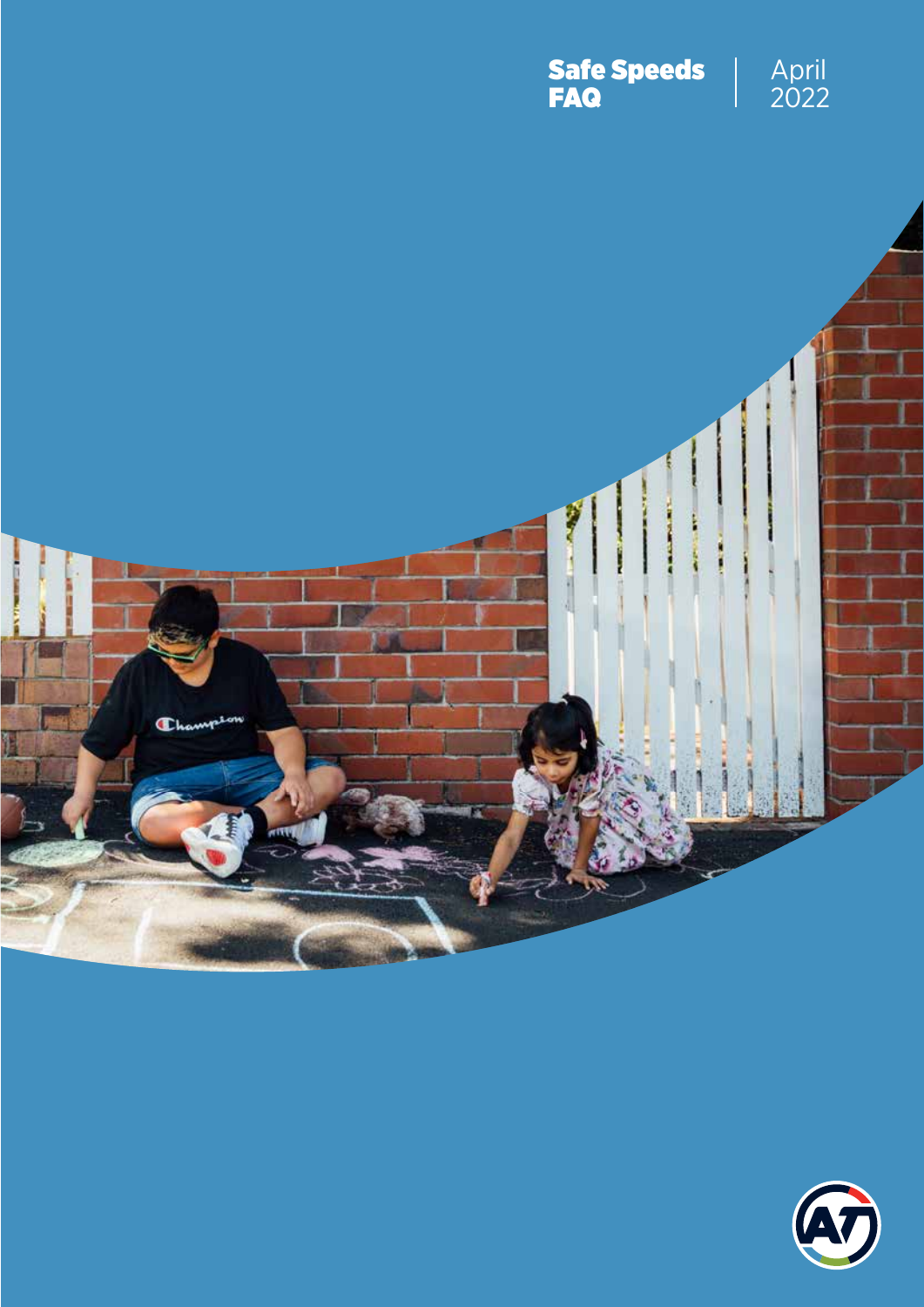

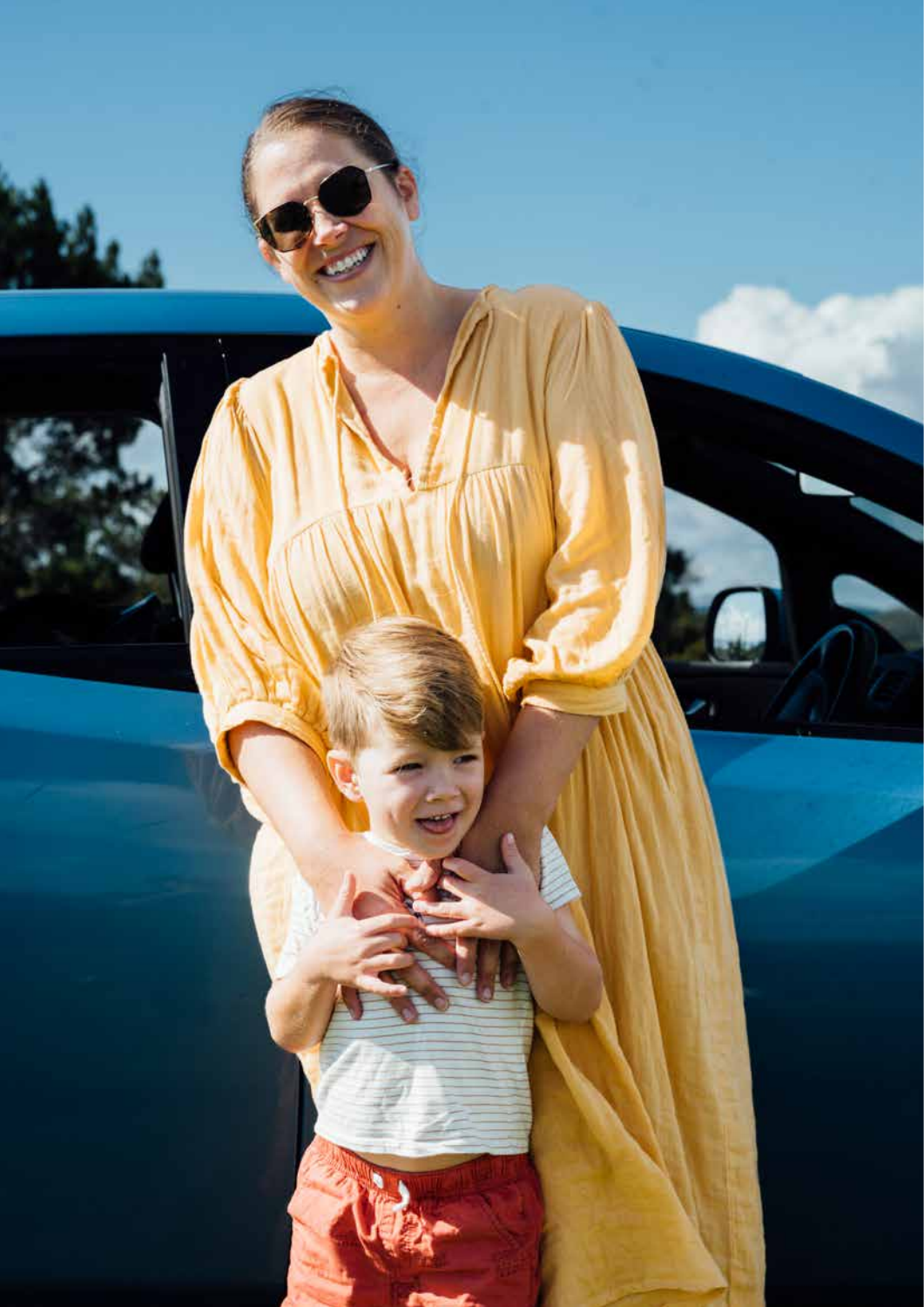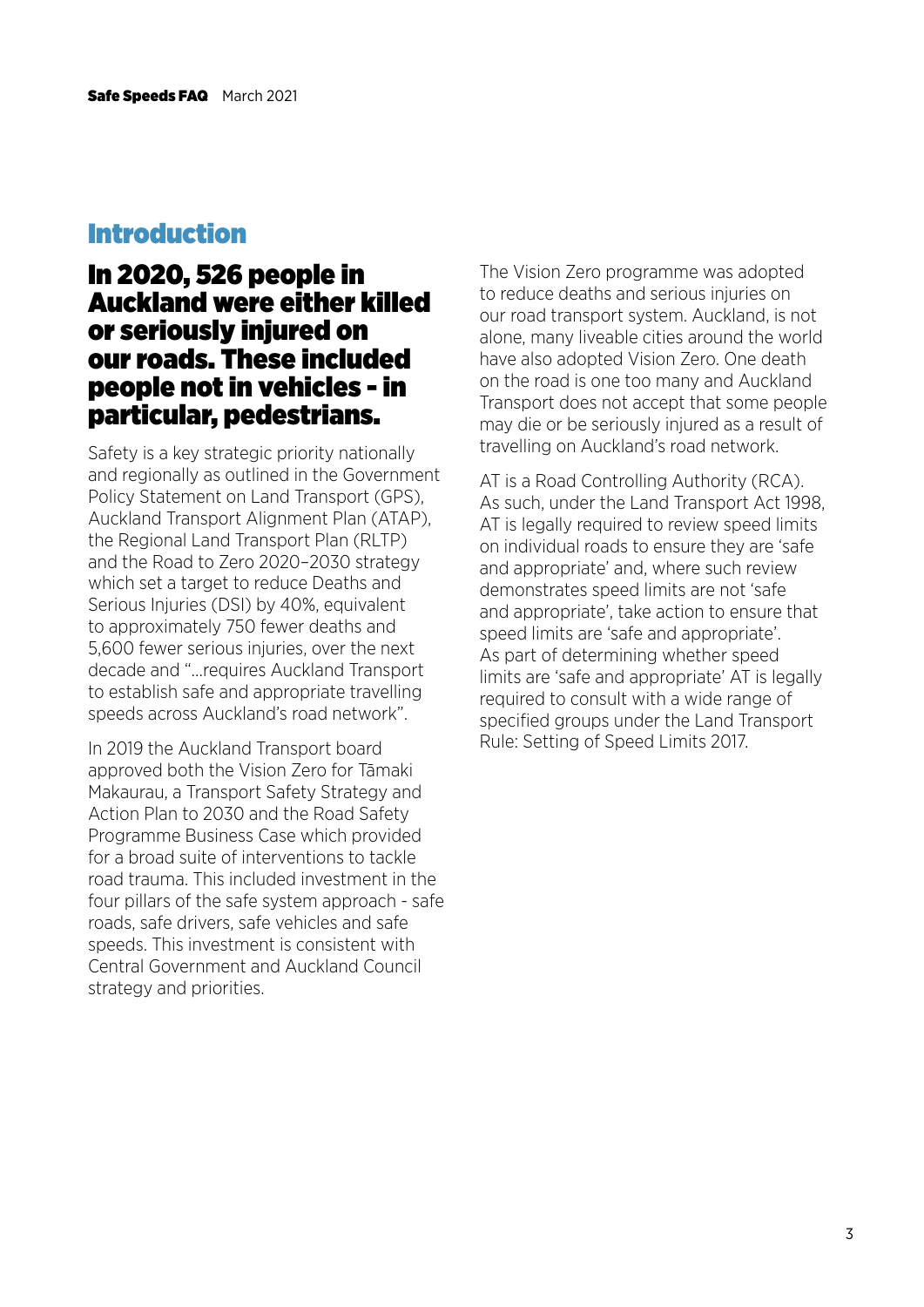# Introduction

## In 2020, 526 people in Auckland were either killed or seriously injured on our roads. These included people not in vehicles - in particular, pedestrians.

Safety is a key strategic priority nationally and regionally as outlined in the Government Policy Statement on Land Transport (GPS), Auckland Transport Alignment Plan (ATAP), the Regional Land Transport Plan (RLTP) and the Road to Zero 2020–2030 strategy which set a target to reduce Deaths and Serious Injuries (DSI) by 40%, equivalent to approximately 750 fewer deaths and 5,600 fewer serious injuries, over the next decade and "...requires Auckland Transport to establish safe and appropriate travelling speeds across Auckland's road network".

In 2019 the Auckland Transport board approved both the Vision Zero for Tāmaki Makaurau, a Transport Safety Strategy and Action Plan to 2030 and the Road Safety Programme Business Case which provided for a broad suite of interventions to tackle road trauma. This included investment in the four pillars of the safe system approach - safe roads, safe drivers, safe vehicles and safe speeds. This investment is consistent with Central Government and Auckland Council strategy and priorities.

The Vision Zero programme was adopted to reduce deaths and serious injuries on our road transport system. Auckland, is not alone, many liveable cities around the world have also adopted Vision Zero. One death on the road is one too many and Auckland Transport does not accept that some people may die or be seriously injured as a result of travelling on Auckland's road network.

AT is a Road Controlling Authority (RCA). As such, under the Land Transport Act 1998, AT is legally required to review speed limits on individual roads to ensure they are 'safe and appropriate' and, where such review demonstrates speed limits are not 'safe and appropriate', take action to ensure that speed limits are 'safe and appropriate'. As part of determining whether speed limits are 'safe and appropriate' AT is legally required to consult with a wide range of specified groups under the Land Transport Rule: Setting of Speed Limits 2017.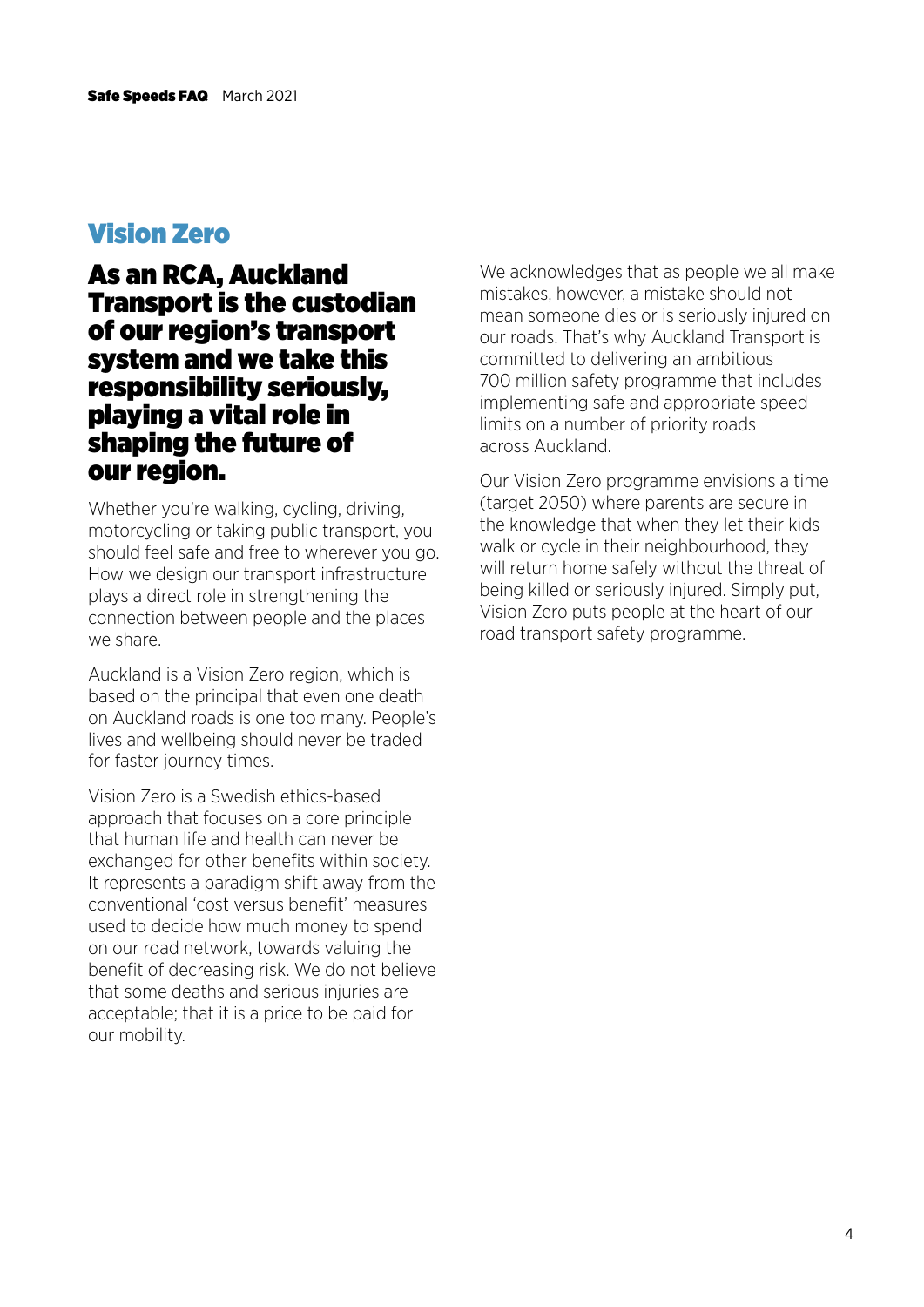## Vision Zero

### As an RCA, Auckland Transport is the custodian of our region's transport system and we take this responsibility seriously, playing a vital role in shaping the future of our region.

Whether you're walking, cycling, driving, motorcycling or taking public transport, you should feel safe and free to wherever you go. How we design our transport infrastructure plays a direct role in strengthening the connection between people and the places we share.

Auckland is a Vision Zero region, which is based on the principal that even one death on Auckland roads is one too many. People's lives and wellbeing should never be traded for faster journey times.

Vision Zero is a Swedish ethics-based approach that focuses on a core principle that human life and health can never be exchanged for other benefits within society. It represents a paradigm shift away from the conventional 'cost versus benefit' measures used to decide how much money to spend on our road network, towards valuing the benefit of decreasing risk. We do not believe that some deaths and serious injuries are acceptable; that it is a price to be paid for our mobility.

We acknowledges that as people we all make mistakes, however, a mistake should not mean someone dies or is seriously injured on our roads. That's why Auckland Transport is committed to delivering an ambitious 700 million safety programme that includes implementing safe and appropriate speed limits on a number of priority roads across Auckland.

Our Vision Zero programme envisions a time (target 2050) where parents are secure in the knowledge that when they let their kids walk or cycle in their neighbourhood, they will return home safely without the threat of being killed or seriously injured. Simply put, Vision Zero puts people at the heart of our road transport safety programme.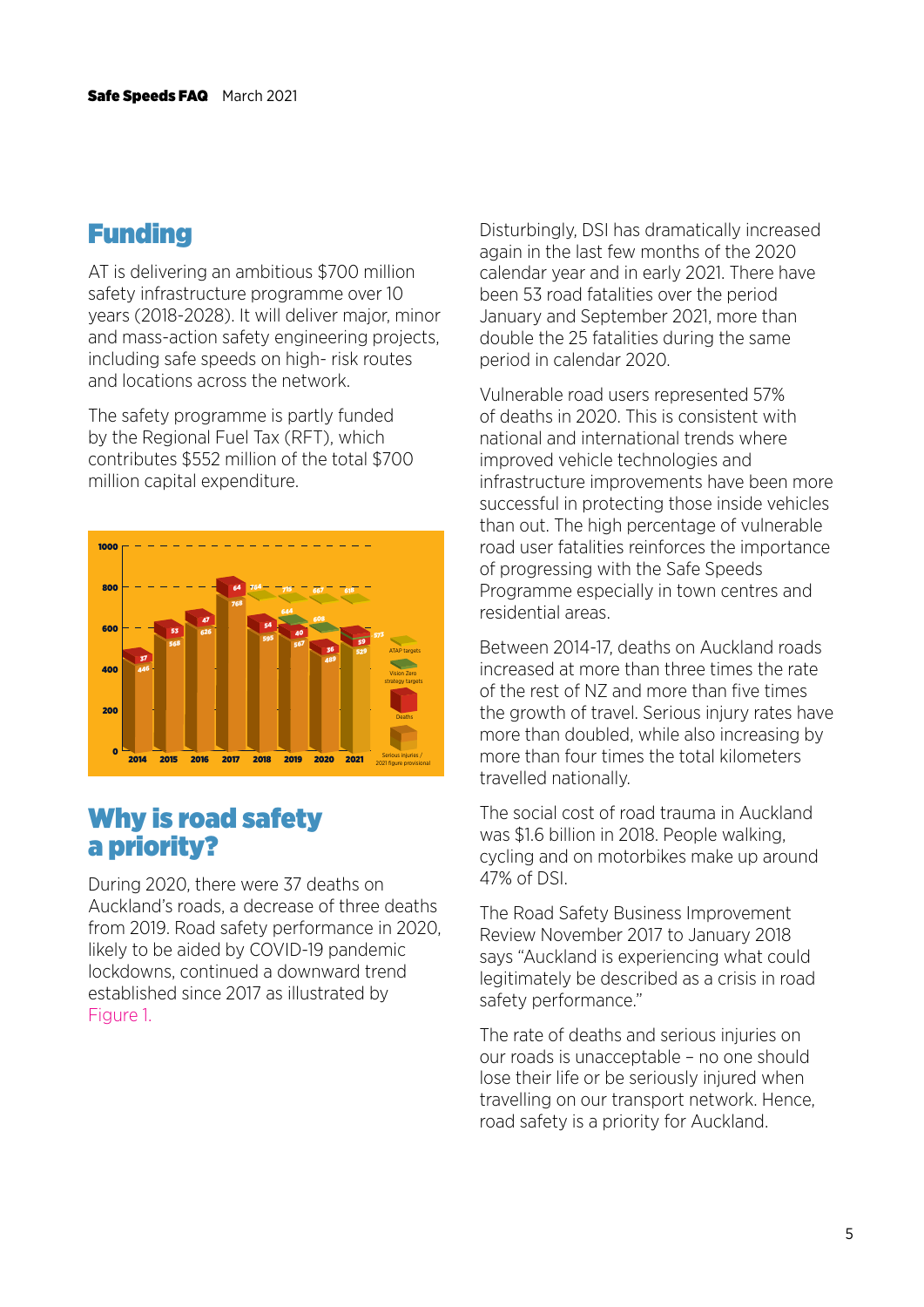# Funding

AT is delivering an ambitious \$700 million safety infrastructure programme over 10 years (2018-2028). It will deliver major, minor and mass-action safety engineering projects, including safe speeds on high- risk routes and locations across the network.

The safety programme is partly funded by the Regional Fuel Tax (RFT), which contributes \$552 million of the total \$700 million capital expenditure.



## Why is road safety a priority?

During 2020, there were 37 deaths on Auckland's roads, a decrease of three deaths from 2019. Road safety performance in 2020, likely to be aided by COVID-19 pandemic lockdowns, continued a downward trend established since 2017 as illustrated by Figure 1.

Disturbingly, DSI has dramatically increased again in the last few months of the 2020 calendar year and in early 2021. There have been 53 road fatalities over the period January and September 2021, more than double the 25 fatalities during the same period in calendar 2020.

Vulnerable road users represented 57% of deaths in 2020. This is consistent with national and international trends where improved vehicle technologies and infrastructure improvements have been more successful in protecting those inside vehicles than out. The high percentage of vulnerable road user fatalities reinforces the importance of progressing with the Safe Speeds Programme especially in town centres and residential areas.

Between 2014-17, deaths on Auckland roads increased at more than three times the rate of the rest of NZ and more than five times the growth of travel. Serious injury rates have more than doubled, while also increasing by more than four times the total kilometers travelled nationally.

The social cost of road trauma in Auckland was \$1.6 billion in 2018. People walking, cycling and on motorbikes make up around 47% of DSI.

The Road Safety Business Improvement Review November 2017 to January 2018 says "Auckland is experiencing what could legitimately be described as a crisis in road safety performance."

The rate of deaths and serious injuries on our roads is unacceptable – no one should lose their life or be seriously injured when travelling on our transport network. Hence, road safety is a priority for Auckland.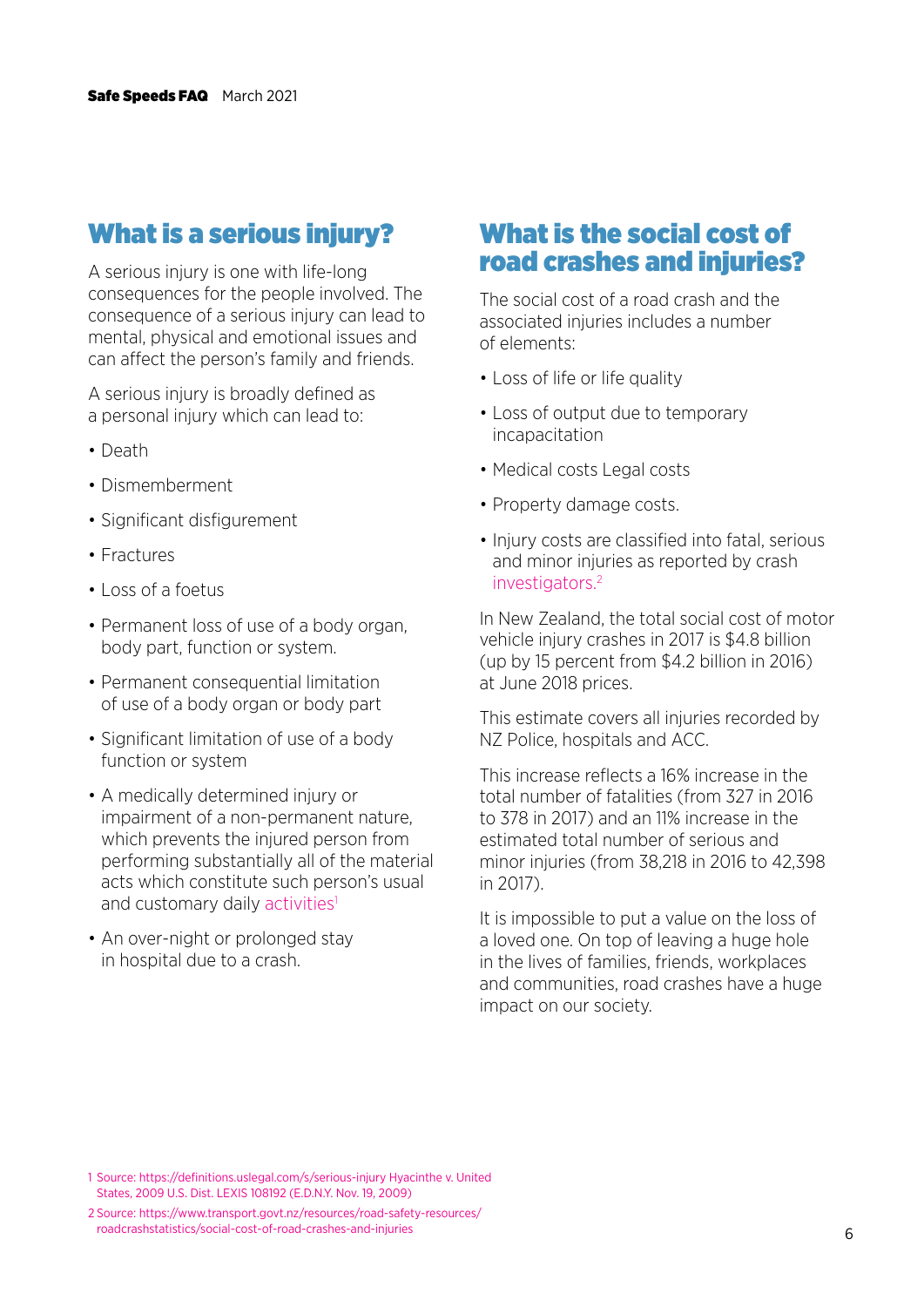# What is a serious injury?

A serious injury is one with life-long consequences for the people involved. The consequence of a serious injury can lead to mental, physical and emotional issues and can affect the person's family and friends.

A serious injury is broadly defined as a personal injury which can lead to:

- Death
- Dismemberment
- Significant disfigurement
- Fractures
- Loss of a foetus
- Permanent loss of use of a body organ, body part, function or system.
- Permanent consequential limitation of use of a body organ or body part
- Significant limitation of use of a body function or system
- A medically determined injury or impairment of a non-permanent nature, which prevents the injured person from performing substantially all of the material acts which constitute such person's usual and customary daily activities<sup>1</sup>
- An over-night or prolonged stay in hospital due to a crash.

# What is the social cost of road crashes and injuries?

The social cost of a road crash and the associated injuries includes a number of elements:

- Loss of life or life quality
- Loss of output due to temporary incapacitation
- Medical costs Legal costs
- Property damage costs.
- Injury costs are classified into fatal, serious and minor injuries as reported by crash investigators.2

In New Zealand, the total social cost of motor vehicle injury crashes in 2017 is \$4.8 billion (up by 15 percent from \$4.2 billion in 2016) at June 2018 prices.

This estimate covers all injuries recorded by NZ Police, hospitals and ACC.

This increase reflects a 16% increase in the total number of fatalities (from 327 in 2016 to 378 in 2017) and an 11% increase in the estimated total number of serious and minor injuries (from 38,218 in 2016 to 42,398 in 2017).

It is impossible to put a value on the loss of a loved one. On top of leaving a huge hole in the lives of families, friends, workplaces and communities, road crashes have a huge impact on our society.

2 Source: https://www.transport.govt.nz/resources/road-safety-resources/ roadcrashstatistics/social-cost-of-road-crashes-and-injuries

<sup>1</sup> Source: https://definitions.uslegal.com/s/serious-injury Hyacinthe v. United States, 2009 U.S. Dist. LEXIS 108192 (E.D.N.Y. Nov. 19, 2009)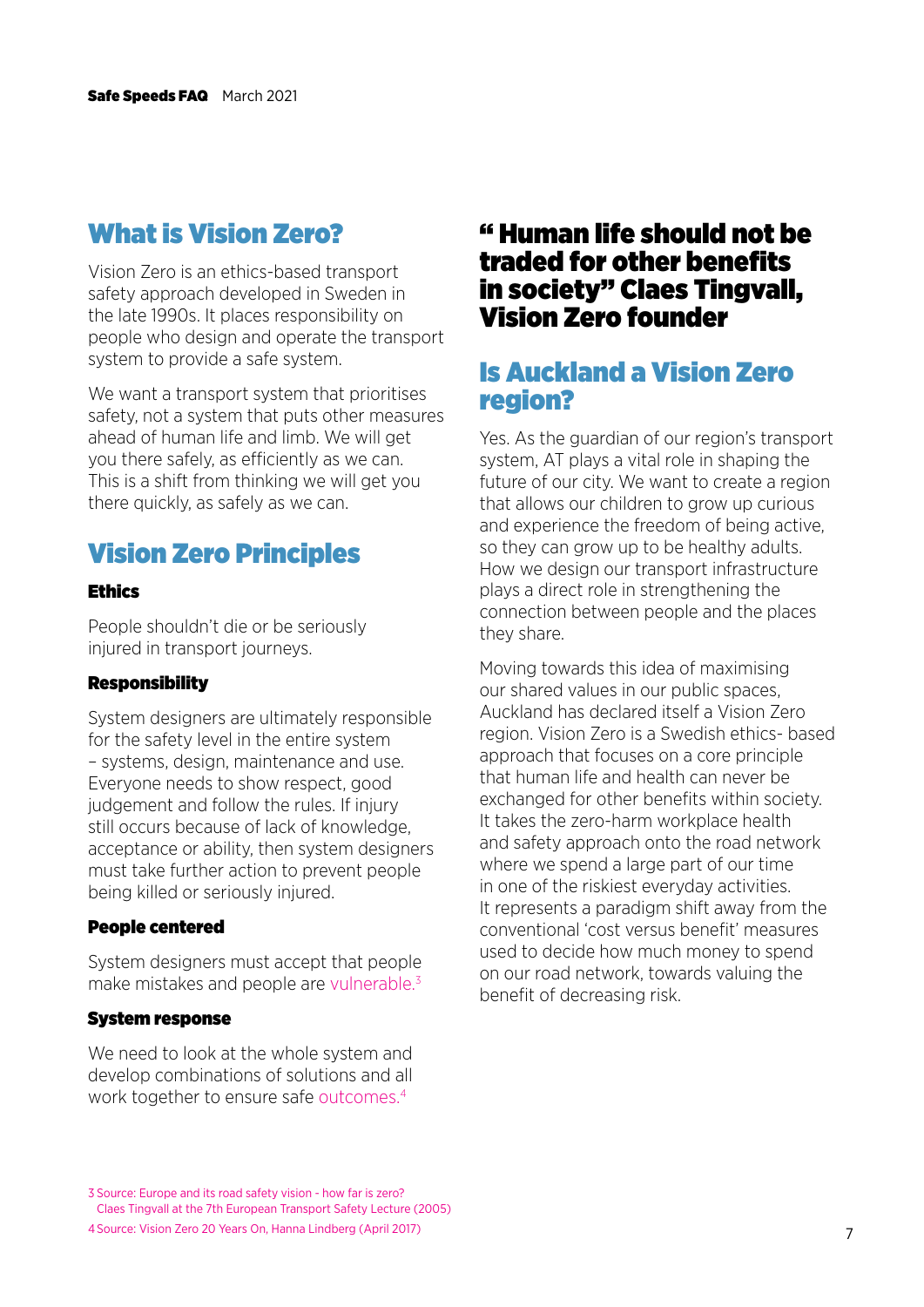# What is Vision Zero?

Vision Zero is an ethics-based transport safety approach developed in Sweden in the late 1990s. It places responsibility on people who design and operate the transport system to provide a safe system.

We want a transport system that prioritises safety, not a system that puts other measures ahead of human life and limb. We will get you there safely, as efficiently as we can. This is a shift from thinking we will get you there quickly, as safely as we can.

## Vision Zero Principles

#### Ethics

People shouldn't die or be seriously injured in transport journeys.

#### Responsibility

System designers are ultimately responsible for the safety level in the entire system – systems, design, maintenance and use. Everyone needs to show respect, good judgement and follow the rules. If injury still occurs because of lack of knowledge, acceptance or ability, then system designers must take further action to prevent people being killed or seriously injured.

#### People centered

System designers must accept that people make mistakes and people are vulnerable.<sup>3</sup>

#### System response

We need to look at the whole system and develop combinations of solutions and all work together to ensure safe outcomes.<sup>4</sup>

## " Human life should not be traded for other benefits in society" Claes Tingvall, Vision Zero founder

## Is Auckland a Vision Zero region?

Yes. As the guardian of our region's transport system, AT plays a vital role in shaping the future of our city. We want to create a region that allows our children to grow up curious and experience the freedom of being active, so they can grow up to be healthy adults. How we design our transport infrastructure plays a direct role in strengthening the connection between people and the places they share.

Moving towards this idea of maximising our shared values in our public spaces, Auckland has declared itself a Vision Zero region. Vision Zero is a Swedish ethics- based approach that focuses on a core principle that human life and health can never be exchanged for other benefits within society. It takes the zero-harm workplace health and safety approach onto the road network where we spend a large part of our time in one of the riskiest everyday activities. It represents a paradigm shift away from the conventional 'cost versus benefit' measures used to decide how much money to spend on our road network, towards valuing the benefit of decreasing risk.

<sup>3</sup> Source: Europe and its road safety vision - how far is zero? Claes Tingvall at the 7th European Transport Safety Lecture (2005) 4Source: Vision Zero 20 Years On, Hanna Lindberg (April 2017)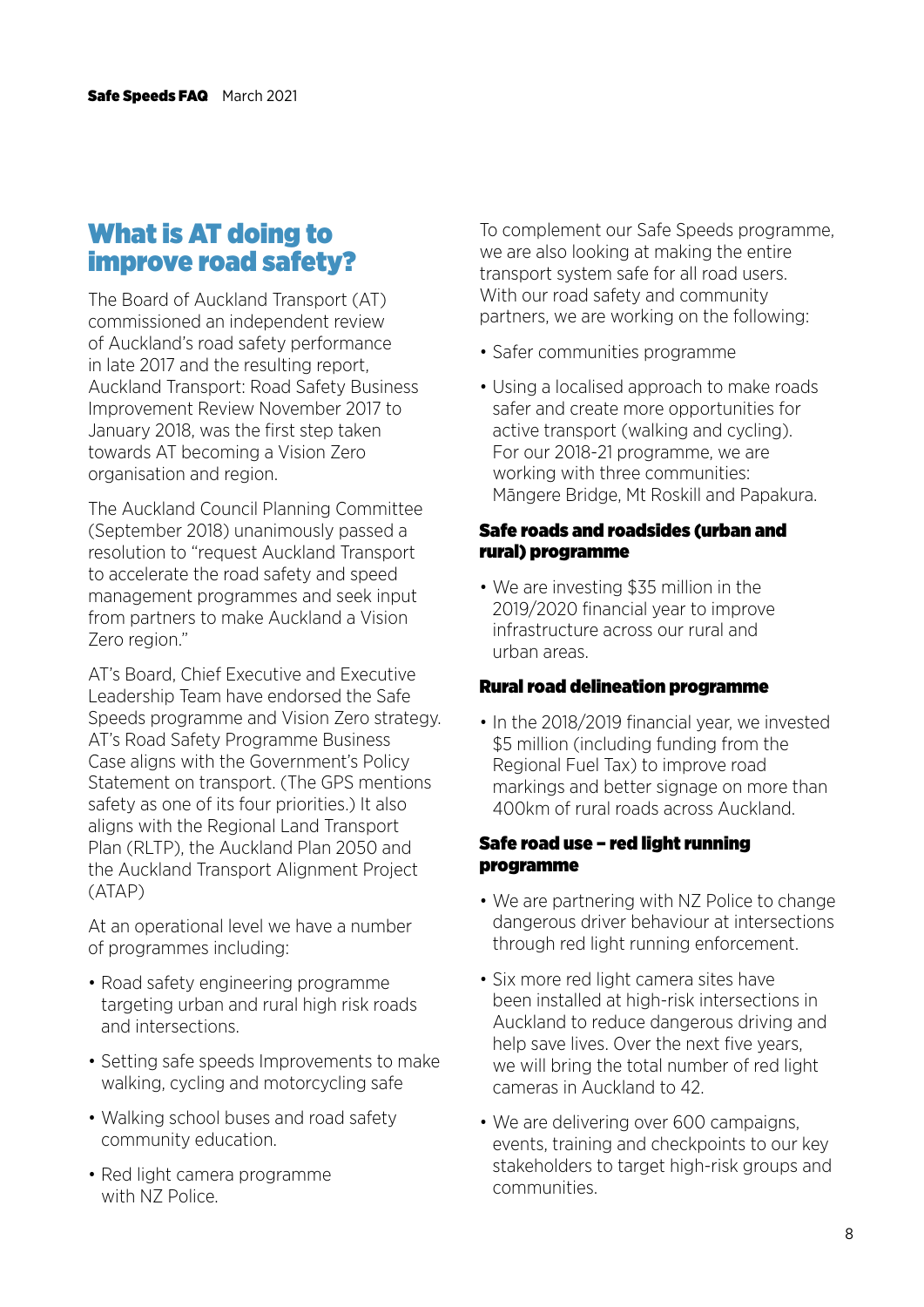# What is AT doing to improve road safety?

The Board of Auckland Transport (AT) commissioned an independent review of Auckland's road safety performance in late 2017 and the resulting report, Auckland Transport: Road Safety Business Improvement Review November 2017 to January 2018, was the first step taken towards AT becoming a Vision Zero organisation and region.

The Auckland Council Planning Committee (September 2018) unanimously passed a resolution to "request Auckland Transport to accelerate the road safety and speed management programmes and seek input from partners to make Auckland a Vision Zero region."

AT's Board, Chief Executive and Executive Leadership Team have endorsed the Safe Speeds programme and Vision Zero strategy. AT's Road Safety Programme Business Case aligns with the Government's Policy Statement on transport. (The GPS mentions safety as one of its four priorities.) It also aligns with the Regional Land Transport Plan (RLTP), the Auckland Plan 2050 and the Auckland Transport Alignment Project (ATAP)

At an operational level we have a number of programmes including:

- Road safety engineering programme targeting urban and rural high risk roads and intersections.
- Setting safe speeds Improvements to make walking, cycling and motorcycling safe
- Walking school buses and road safety community education.
- Red light camera programme with NZ Police.

To complement our Safe Speeds programme, we are also looking at making the entire transport system safe for all road users. With our road safety and community partners, we are working on the following:

- Safer communities programme
- Using a localised approach to make roads safer and create more opportunities for active transport (walking and cycling). For our 2018-21 programme, we are working with three communities: Māngere Bridge, Mt Roskill and Papakura.

### Safe roads and roadsides (urban and rural) programme

• We are investing \$35 million in the 2019/2020 financial year to improve infrastructure across our rural and urban areas.

#### Rural road delineation programme

• In the 2018/2019 financial year, we invested \$5 million (including funding from the Regional Fuel Tax) to improve road markings and better signage on more than 400km of rural roads across Auckland.

#### Safe road use – red light running programme

- We are partnering with NZ Police to change dangerous driver behaviour at intersections through red light running enforcement.
- Six more red light camera sites have been installed at high-risk intersections in Auckland to reduce dangerous driving and help save lives. Over the next five years, we will bring the total number of red light cameras in Auckland to 42.
- We are delivering over 600 campaigns, events, training and checkpoints to our key stakeholders to target high-risk groups and communities.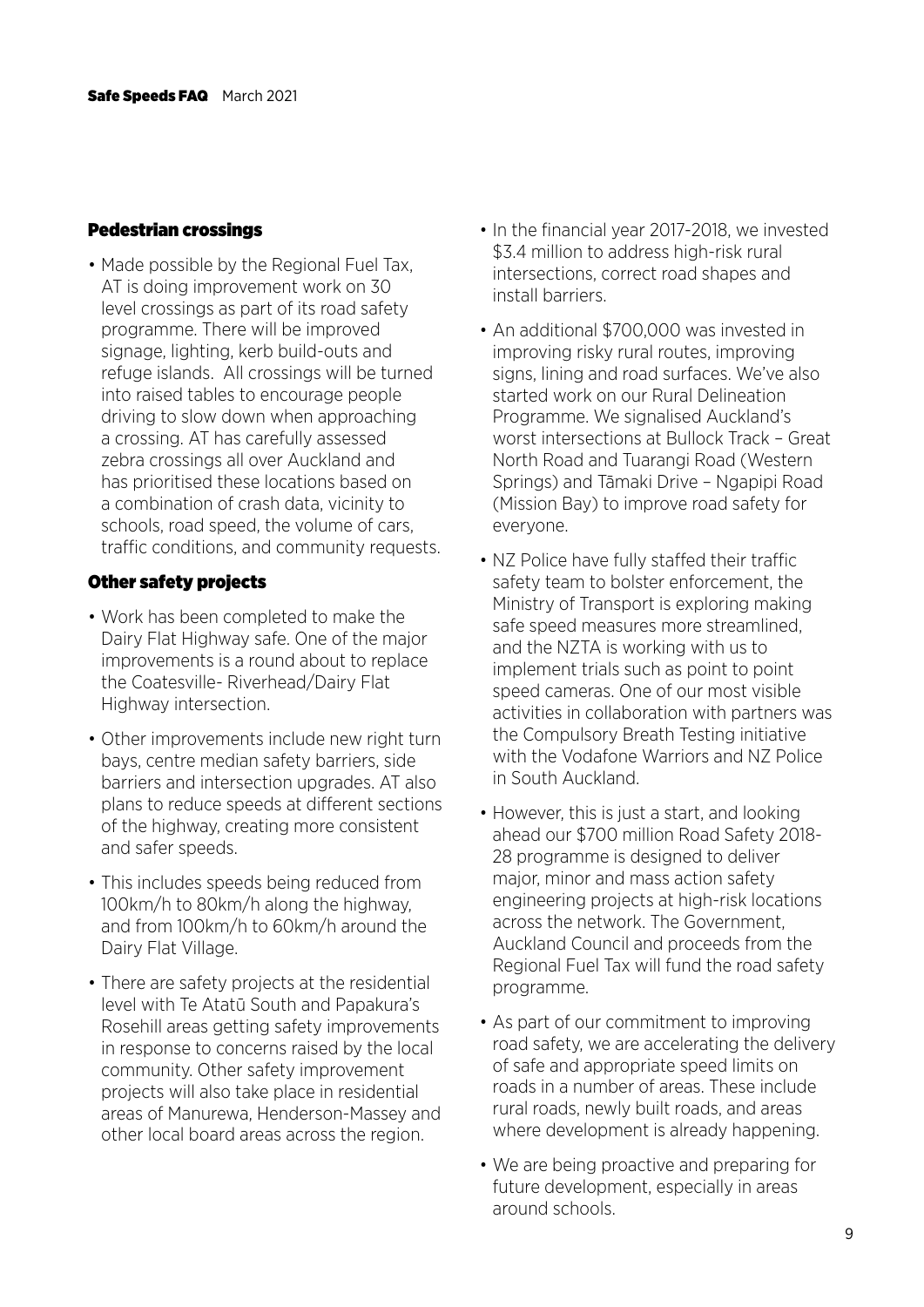#### Pedestrian crossings

• Made possible by the Regional Fuel Tax. AT is doing improvement work on 30 level crossings as part of its road safety programme. There will be improved signage, lighting, kerb build-outs and refuge islands. All crossings will be turned into raised tables to encourage people driving to slow down when approaching a crossing. AT has carefully assessed zebra crossings all over Auckland and has prioritised these locations based on a combination of crash data, vicinity to schools, road speed, the volume of cars, traffic conditions, and community requests.

#### Other safety projects

- Work has been completed to make the Dairy Flat Highway safe. One of the major improvements is a round about to replace the Coatesville- Riverhead/Dairy Flat Highway intersection.
- Other improvements include new right turn bays, centre median safety barriers, side barriers and intersection upgrades. AT also plans to reduce speeds at different sections of the highway, creating more consistent and safer speeds.
- This includes speeds being reduced from 100km/h to 80km/h along the highway, and from 100km/h to 60km/h around the Dairy Flat Village.
- There are safety projects at the residential level with Te Atatū South and Papakura's Rosehill areas getting safety improvements in response to concerns raised by the local community. Other safety improvement projects will also take place in residential areas of Manurewa, Henderson-Massey and other local board areas across the region.
- In the financial year 2017-2018, we invested \$3.4 million to address high-risk rural intersections, correct road shapes and install barriers.
- An additional \$700,000 was invested in improving risky rural routes, improving signs, lining and road surfaces. We've also started work on our Rural Delineation Programme. We signalised Auckland's worst intersections at Bullock Track – Great North Road and Tuarangi Road (Western Springs) and Tāmaki Drive – Ngapipi Road (Mission Bay) to improve road safety for everyone.
- NZ Police have fully staffed their traffic safety team to bolster enforcement, the Ministry of Transport is exploring making safe speed measures more streamlined, and the NZTA is working with us to implement trials such as point to point speed cameras. One of our most visible activities in collaboration with partners was the Compulsory Breath Testing initiative with the Vodafone Warriors and N7 Police in South Auckland.
- However, this is just a start, and looking ahead our \$700 million Road Safety 2018- 28 programme is designed to deliver major, minor and mass action safety engineering projects at high-risk locations across the network. The Government, Auckland Council and proceeds from the Regional Fuel Tax will fund the road safety programme.
- As part of our commitment to improving road safety, we are accelerating the delivery of safe and appropriate speed limits on roads in a number of areas. These include rural roads, newly built roads, and areas where development is already happening.
- We are being proactive and preparing for future development, especially in areas around schools.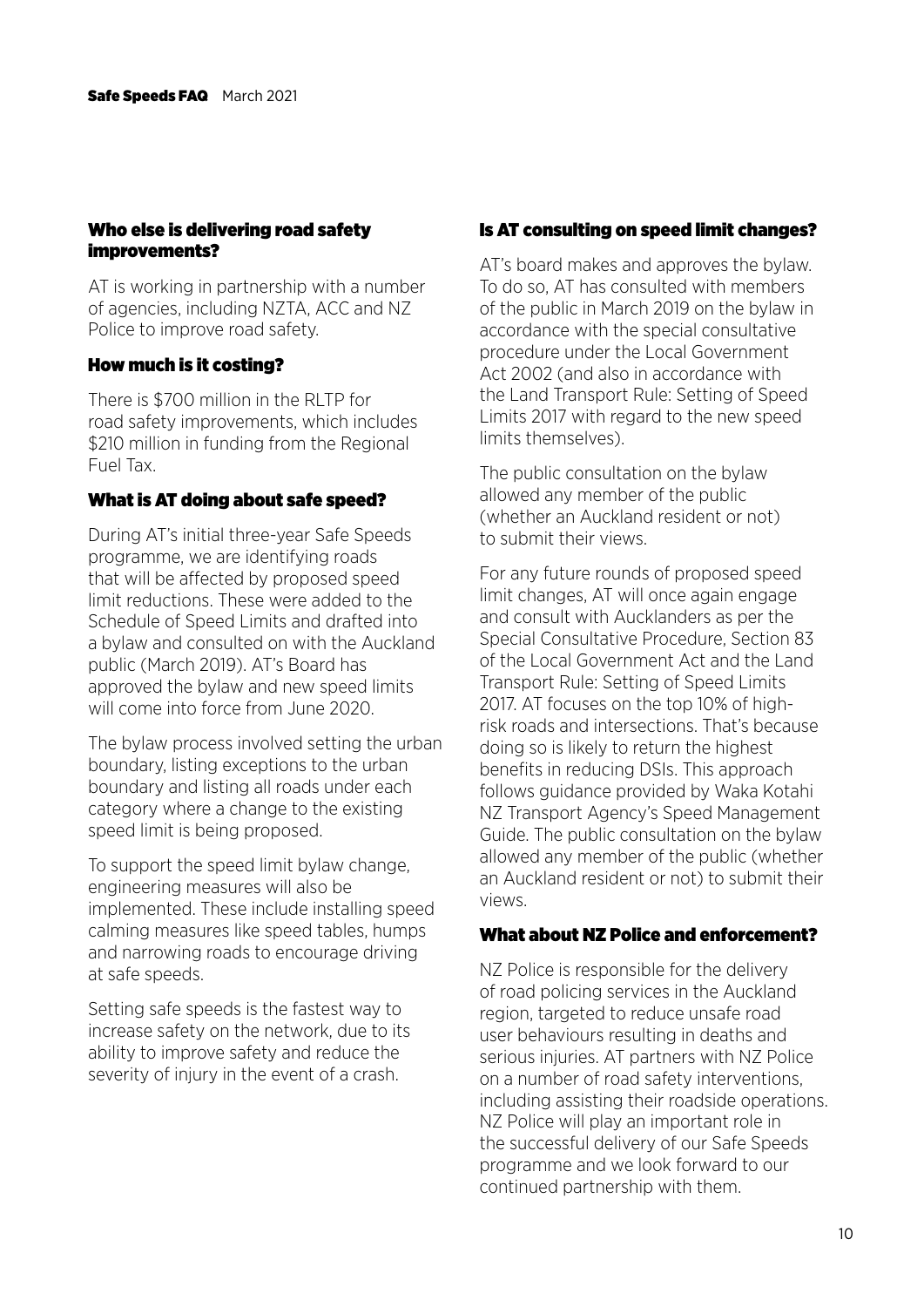### Who else is delivering road safety improvements?

AT is working in partnership with a number of agencies, including NZTA, ACC and NZ Police to improve road safety.

#### How much is it costing?

There is \$700 million in the RLTP for road safety improvements, which includes \$210 million in funding from the Regional Fuel Tax.

#### What is AT doing about safe speed?

During AT's initial three-year Safe Speeds programme, we are identifying roads that will be affected by proposed speed limit reductions. These were added to the Schedule of Speed Limits and drafted into a bylaw and consulted on with the Auckland public (March 2019). AT's Board has approved the bylaw and new speed limits will come into force from June 2020.

The bylaw process involved setting the urban boundary, listing exceptions to the urban boundary and listing all roads under each category where a change to the existing speed limit is being proposed.

To support the speed limit bylaw change, engineering measures will also be implemented. These include installing speed calming measures like speed tables, humps and narrowing roads to encourage driving at safe speeds.

Setting safe speeds is the fastest way to increase safety on the network, due to its ability to improve safety and reduce the severity of injury in the event of a crash.

### Is AT consulting on speed limit changes?

AT's board makes and approves the bylaw. To do so, AT has consulted with members of the public in March 2019 on the bylaw in accordance with the special consultative procedure under the Local Government Act 2002 (and also in accordance with the Land Transport Rule: Setting of Speed Limits 2017 with regard to the new speed limits themselves).

The public consultation on the bylaw allowed any member of the public (whether an Auckland resident or not) to submit their views.

For any future rounds of proposed speed limit changes, AT will once again engage and consult with Aucklanders as per the Special Consultative Procedure, Section 83 of the Local Government Act and the Land Transport Rule: Setting of Speed Limits 2017. AT focuses on the top 10% of highrisk roads and intersections. That's because doing so is likely to return the highest benefits in reducing DSIs. This approach follows guidance provided by Waka Kotahi NZ Transport Agency's Speed Management Guide. The public consultation on the bylaw allowed any member of the public (whether an Auckland resident or not) to submit their views.

#### What about NZ Police and enforcement?

NZ Police is responsible for the delivery of road policing services in the Auckland region, targeted to reduce unsafe road user behaviours resulting in deaths and serious injuries. AT partners with NZ Police on a number of road safety interventions, including assisting their roadside operations. NZ Police will play an important role in the successful delivery of our Safe Speeds programme and we look forward to our continued partnership with them.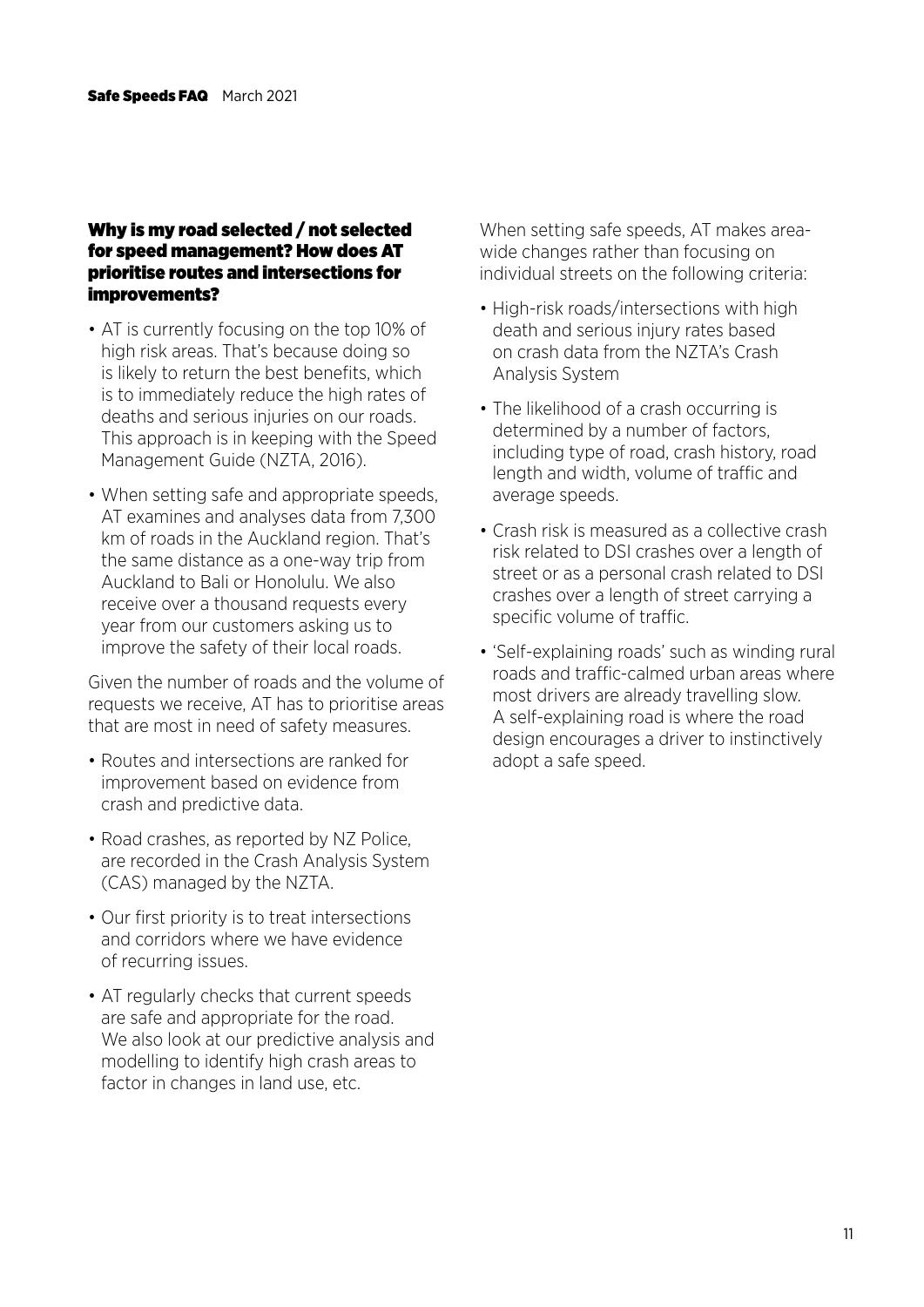#### Why is my road selected / not selected for speed management? How does AT prioritise routes and intersections for improvements?

- AT is currently focusing on the top 10% of high risk areas. That's because doing so is likely to return the best benefits, which is to immediately reduce the high rates of deaths and serious injuries on our roads. This approach is in keeping with the Speed Management Guide (NZTA, 2016).
- When setting safe and appropriate speeds, AT examines and analyses data from 7,300 km of roads in the Auckland region. That's the same distance as a one-way trip from Auckland to Bali or Honolulu. We also receive over a thousand requests every year from our customers asking us to improve the safety of their local roads.

Given the number of roads and the volume of requests we receive, AT has to prioritise areas that are most in need of safety measures.

- Routes and intersections are ranked for improvement based on evidence from crash and predictive data.
- Road crashes, as reported by NZ Police, are recorded in the Crash Analysis System (CAS) managed by the NZTA.
- Our first priority is to treat intersections and corridors where we have evidence of recurring issues.
- AT regularly checks that current speeds are safe and appropriate for the road. We also look at our predictive analysis and modelling to identify high crash areas to factor in changes in land use, etc.

When setting safe speeds, AT makes areawide changes rather than focusing on individual streets on the following criteria:

- High-risk roads/intersections with high death and serious injury rates based on crash data from the NZTA's Crash Analysis System
- The likelihood of a crash occurring is determined by a number of factors, including type of road, crash history, road length and width, volume of traffic and average speeds.
- Crash risk is measured as a collective crash risk related to DSI crashes over a length of street or as a personal crash related to DSI crashes over a length of street carrying a specific volume of traffic.
- 'Self-explaining roads' such as winding rural roads and traffic-calmed urban areas where most drivers are already travelling slow. A self-explaining road is where the road design encourages a driver to instinctively adopt a safe speed.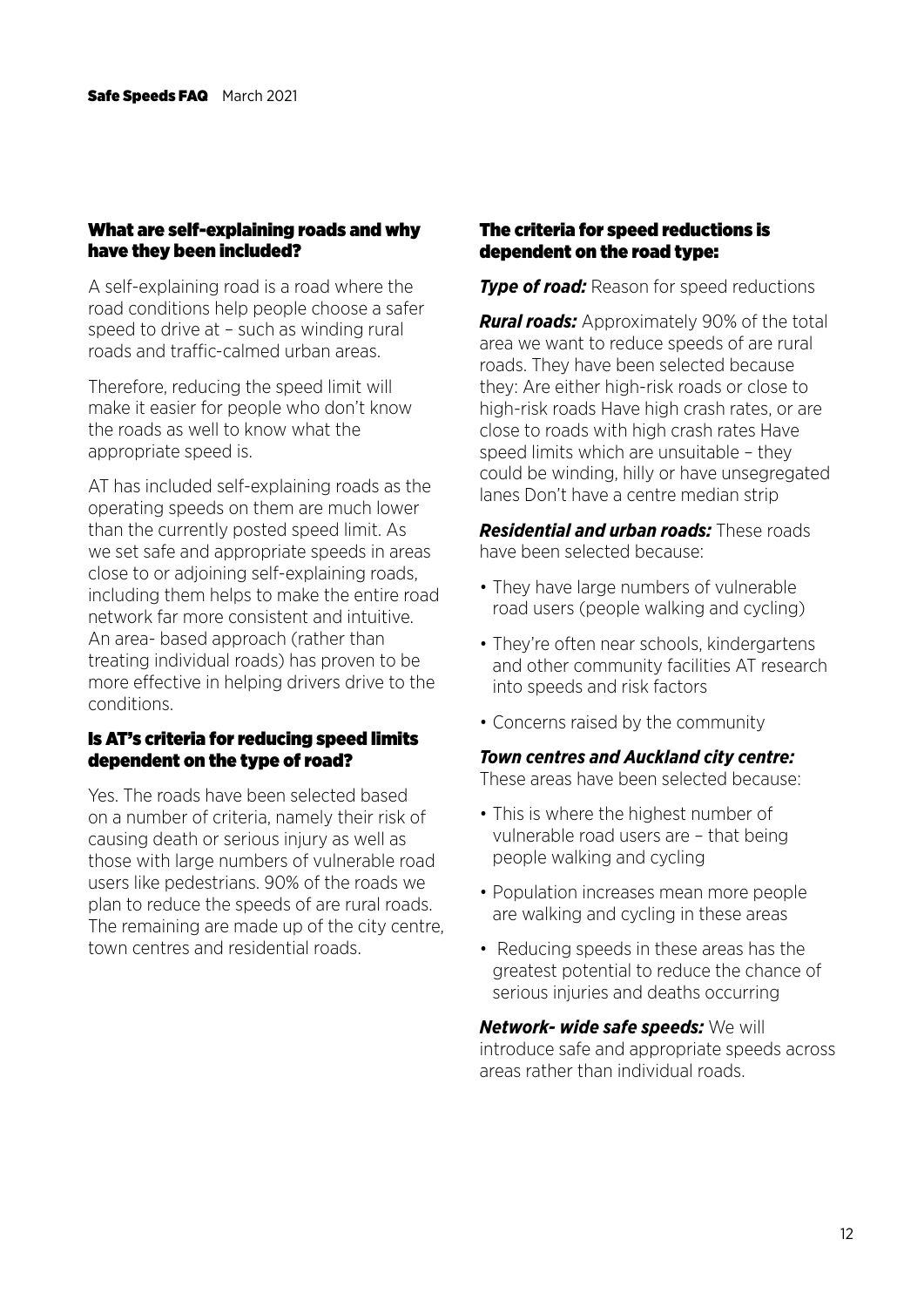#### What are self-explaining roads and why have they been included?

A self-explaining road is a road where the road conditions help people choose a safer speed to drive at – such as winding rural roads and traffic-calmed urban areas.

Therefore, reducing the speed limit will make it easier for people who don't know the roads as well to know what the appropriate speed is.

AT has included self-explaining roads as the operating speeds on them are much lower than the currently posted speed limit. As we set safe and appropriate speeds in areas close to or adjoining self-explaining roads, including them helps to make the entire road network far more consistent and intuitive. An area- based approach (rather than treating individual roads) has proven to be more effective in helping drivers drive to the conditions.

#### Is AT's criteria for reducing speed limits dependent on the type of road?

Yes. The roads have been selected based on a number of criteria, namely their risk of causing death or serious injury as well as those with large numbers of vulnerable road users like pedestrians. 90% of the roads we plan to reduce the speeds of are rural roads. The remaining are made up of the city centre, town centres and residential roads.

#### The criteria for speed reductions is dependent on the road type:

*Type of road:* Reason for speed reductions

*Rural roads:* Approximately 90% of the total area we want to reduce speeds of are rural roads. They have been selected because they: Are either high-risk roads or close to high-risk roads Have high crash rates, or are close to roads with high crash rates Have speed limits which are unsuitable – they could be winding, hilly or have unsegregated lanes Don't have a centre median strip

*Residential and urban roads:* These roads have been selected because:

- They have large numbers of vulnerable road users (people walking and cycling)
- They're often near schools, kindergartens and other community facilities AT research into speeds and risk factors
- Concerns raised by the community

#### *Town centres and Auckland city centre:*

These areas have been selected because:

- This is where the highest number of vulnerable road users are – that being people walking and cycling
- Population increases mean more people are walking and cycling in these areas
- Reducing speeds in these areas has the greatest potential to reduce the chance of serious injuries and deaths occurring

*Network- wide safe speeds:* We will introduce safe and appropriate speeds across areas rather than individual roads.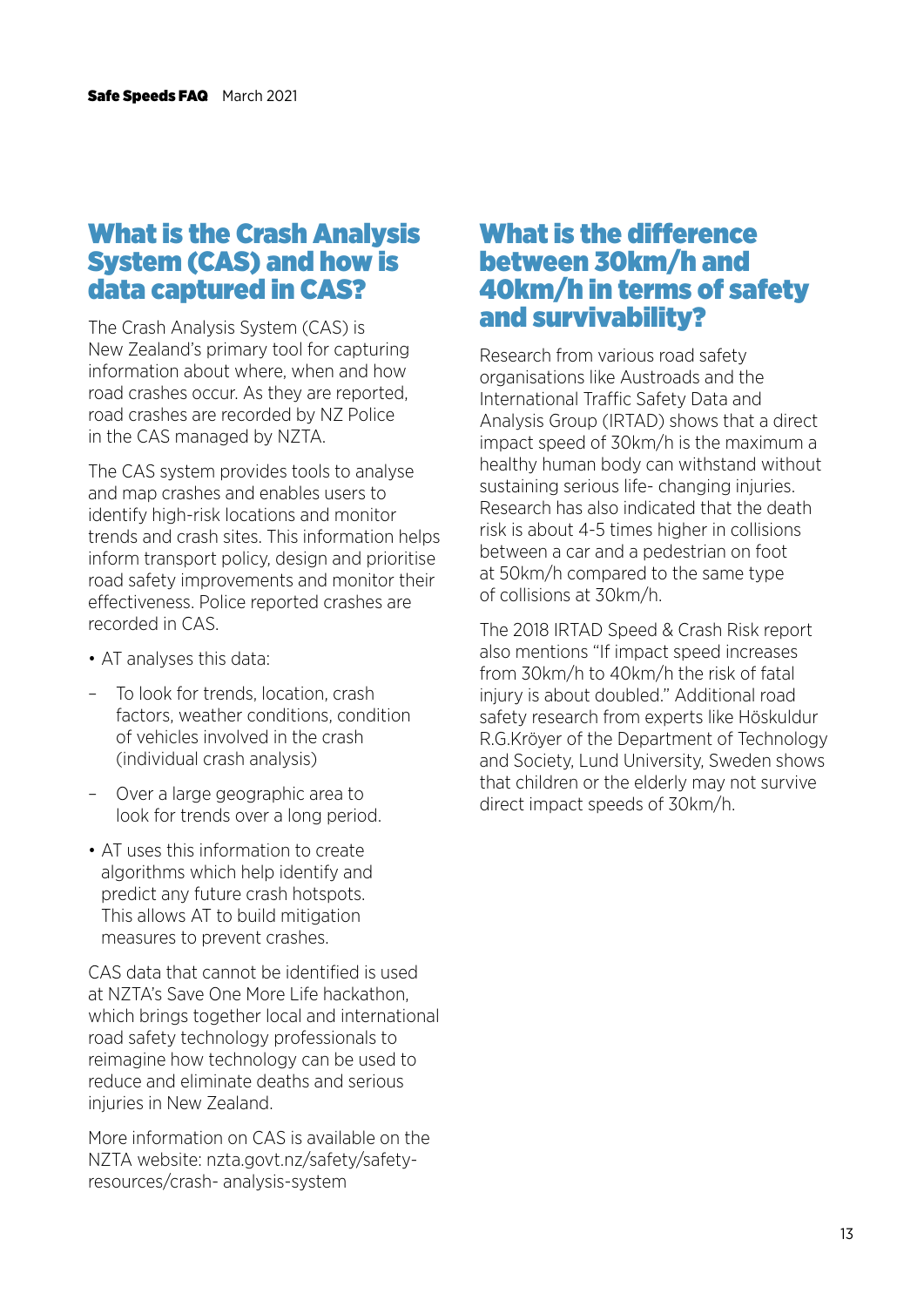## What is the Crash Analysis System (CAS) and how is data captured in CAS?

The Crash Analysis System (CAS) is New Zealand's primary tool for capturing information about where, when and how road crashes occur. As they are reported, road crashes are recorded by NZ Police in the CAS managed by NZTA.

The CAS system provides tools to analyse and map crashes and enables users to identify high-risk locations and monitor trends and crash sites. This information helps inform transport policy, design and prioritise road safety improvements and monitor their effectiveness. Police reported crashes are recorded in CAS.

- AT analyses this data:
- To look for trends, location, crash factors, weather conditions, condition of vehicles involved in the crash (individual crash analysis)
- Over a large geographic area to look for trends over a long period.
- AT uses this information to create algorithms which help identify and predict any future crash hotspots. This allows AT to build mitigation measures to prevent crashes.

CAS data that cannot be identified is used at NZTA's Save One More Life hackathon, which brings together local and international road safety technology professionals to reimagine how technology can be used to reduce and eliminate deaths and serious injuries in New Zealand.

More information on CAS is available on the NZTA website: nzta.govt.nz/safety/safetyresources/crash- analysis-system

## What is the difference between 30km/h and 40km/h in terms of safety and survivability?

Research from various road safety organisations like Austroads and the International Traffic Safety Data and Analysis Group (IRTAD) shows that a direct impact speed of 30km/h is the maximum a healthy human body can withstand without sustaining serious life- changing injuries. Research has also indicated that the death risk is about 4-5 times higher in collisions between a car and a pedestrian on foot at 50km/h compared to the same type of collisions at 30km/h.

The 2018 IRTAD Speed & Crash Risk report also mentions "If impact speed increases from 30km/h to 40km/h the risk of fatal injury is about doubled." Additional road safety research from experts like Höskuldur R.G.Kröyer of the Department of Technology and Society, Lund University, Sweden shows that children or the elderly may not survive direct impact speeds of 30km/h.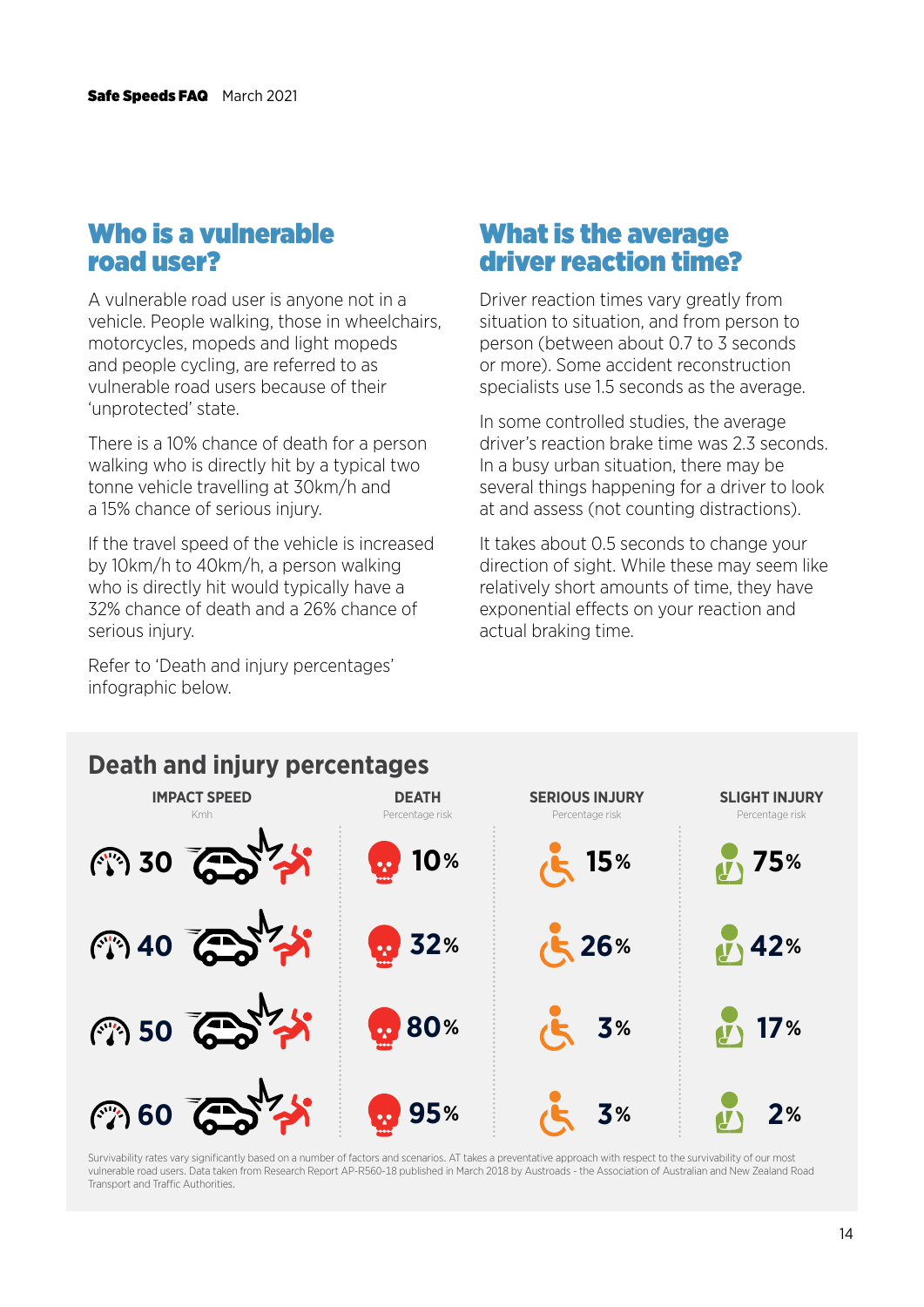## Who is a vulnerable road user?

A vulnerable road user is anyone not in a vehicle. People walking, those in wheelchairs, motorcycles, mopeds and light mopeds and people cycling, are referred to as vulnerable road users because of their 'unprotected' state.

There is a 10% chance of death for a person walking who is directly hit by a typical two tonne vehicle travelling at 30km/h and a 15% chance of serious injury.

If the travel speed of the vehicle is increased by 10km/h to 40km/h, a person walking who is directly hit would typically have a 32% chance of death and a 26% chance of serious injury.

Refer to 'Death and injury percentages' infographic below.

# What is the average driver reaction time?

Driver reaction times vary greatly from situation to situation, and from person to person (between about 0.7 to 3 seconds or more). Some accident reconstruction specialists use 1.5 seconds as the average.

In some controlled studies, the average driver's reaction brake time was 2.3 seconds. In a busy urban situation, there may be several things happening for a driver to look at and assess (not counting distractions).

It takes about 0.5 seconds to change your direction of sight. While these may seem like relatively short amounts of time, they have exponential effects on your reaction and actual braking time.



Survivability rates vary significantly based on a number of factors and scenarios. AT takes a preventative approach with respect to the survivability of our most vulnerable road users. Data taken from Research Report AP-R560-18 published in March 2018 by Austroads - the Association of Australian and New Zealand Road Transport and Traffic Authorities.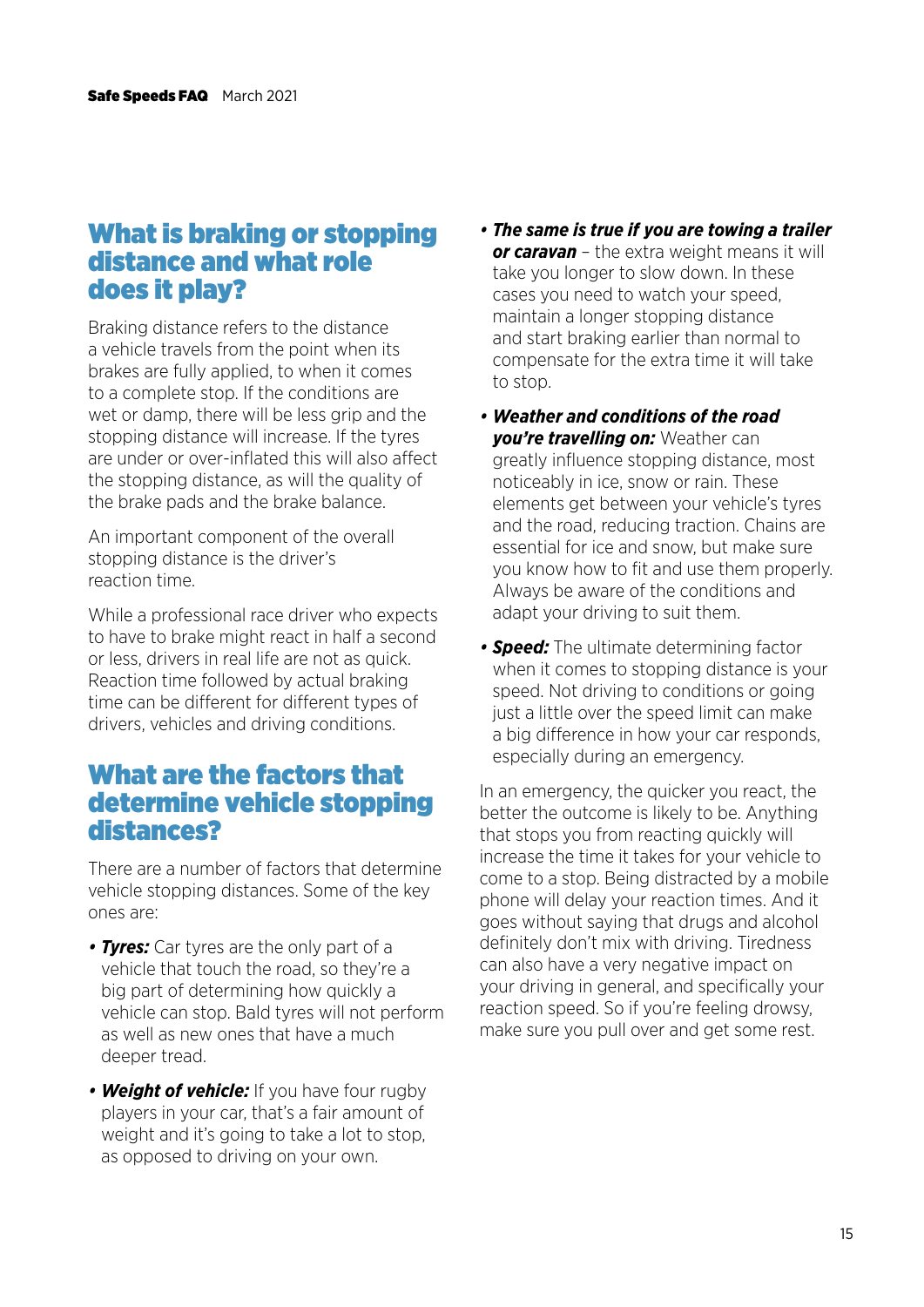## What is braking or stopping distance and what role does it play?

Braking distance refers to the distance a vehicle travels from the point when its brakes are fully applied, to when it comes to a complete stop. If the conditions are wet or damp, there will be less grip and the stopping distance will increase. If the tyres are under or over-inflated this will also affect the stopping distance, as will the quality of the brake pads and the brake balance.

An important component of the overall stopping distance is the driver's reaction time.

While a professional race driver who expects to have to brake might react in half a second or less, drivers in real life are not as quick. Reaction time followed by actual braking time can be different for different types of drivers, vehicles and driving conditions.

### What are the factors that determine vehicle stopping distances?

There are a number of factors that determine vehicle stopping distances. Some of the key ones are:

- *• Tyres:* Car tyres are the only part of a vehicle that touch the road, so they're a big part of determining how quickly a vehicle can stop. Bald tyres will not perform as well as new ones that have a much deeper tread.
- *• Weight of vehicle:* If you have four rugby players in your car, that's a fair amount of weight and it's going to take a lot to stop. as opposed to driving on your own.
- *• The same is true if you are towing a trailer or caravan* – the extra weight means it will take you longer to slow down. In these cases you need to watch your speed, maintain a longer stopping distance and start braking earlier than normal to compensate for the extra time it will take to stop.
- *• Weather and conditions of the road you're travelling on:* Weather can greatly influence stopping distance, most noticeably in ice, snow or rain. These elements get between your vehicle's tyres and the road, reducing traction. Chains are essential for ice and snow, but make sure you know how to fit and use them properly. Always be aware of the conditions and adapt your driving to suit them.
- *• Speed:* The ultimate determining factor when it comes to stopping distance is your speed. Not driving to conditions or going just a little over the speed limit can make a big difference in how your car responds, especially during an emergency.

In an emergency, the quicker you react, the better the outcome is likely to be. Anything that stops you from reacting quickly will increase the time it takes for your vehicle to come to a stop. Being distracted by a mobile phone will delay your reaction times. And it goes without saying that drugs and alcohol definitely don't mix with driving. Tiredness can also have a very negative impact on your driving in general, and specifically your reaction speed. So if you're feeling drowsy, make sure you pull over and get some rest.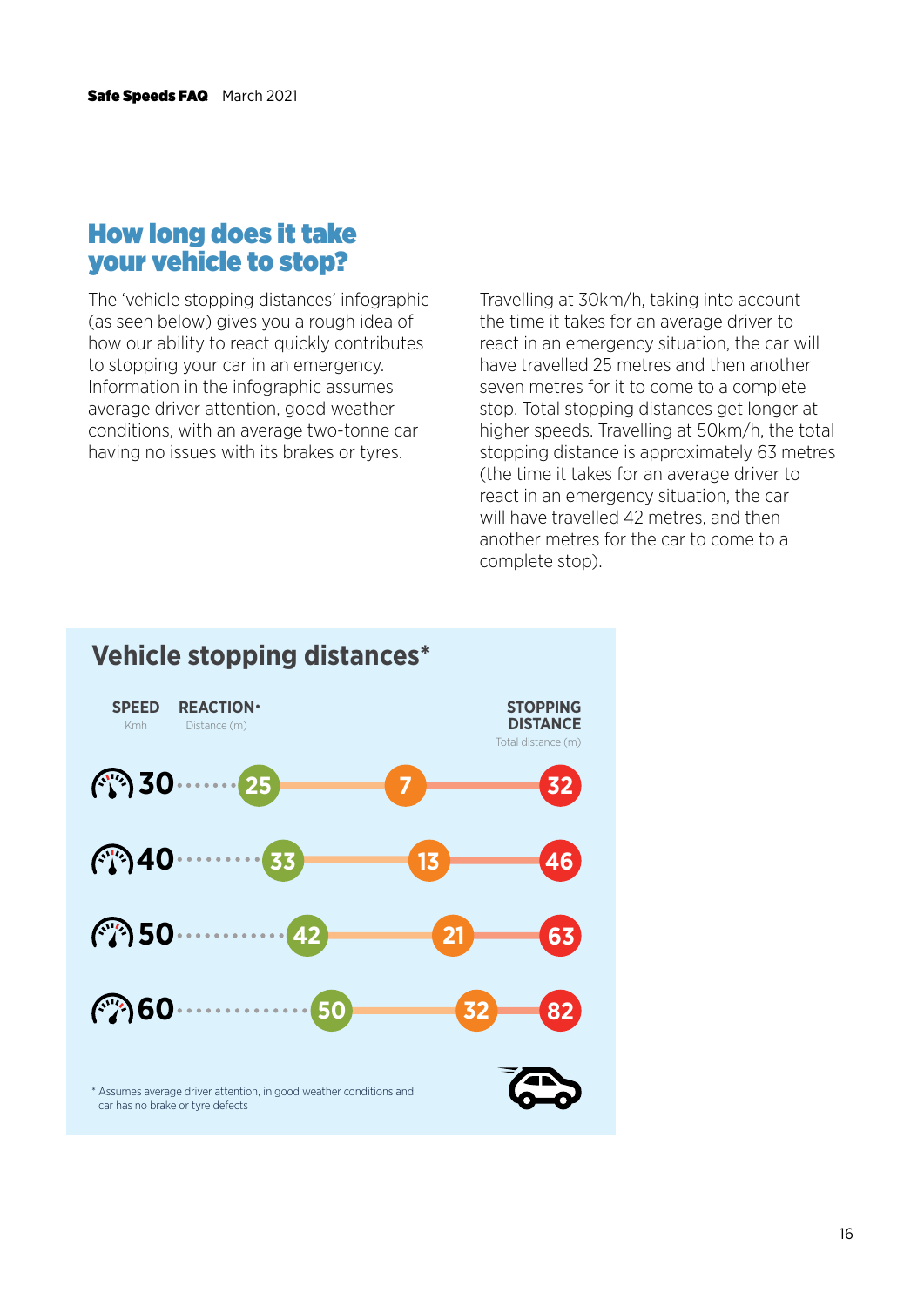## How long does it take your vehicle to stop?

The 'vehicle stopping distances' infographic (as seen below) gives you a rough idea of how our ability to react quickly contributes to stopping your car in an emergency. Information in the infographic assumes average driver attention, good weather conditions, with an average two-tonne car having no issues with its brakes or tyres.

Travelling at 30km/h, taking into account the time it takes for an average driver to react in an emergency situation, the car will have travelled 25 metres and then another seven metres for it to come to a complete stop. Total stopping distances get longer at higher speeds. Travelling at 50km/h, the total stopping distance is approximately 63 metres (the time it takes for an average driver to react in an emergency situation, the car will have travelled 42 metres, and then another metres for the car to come to a complete stop).

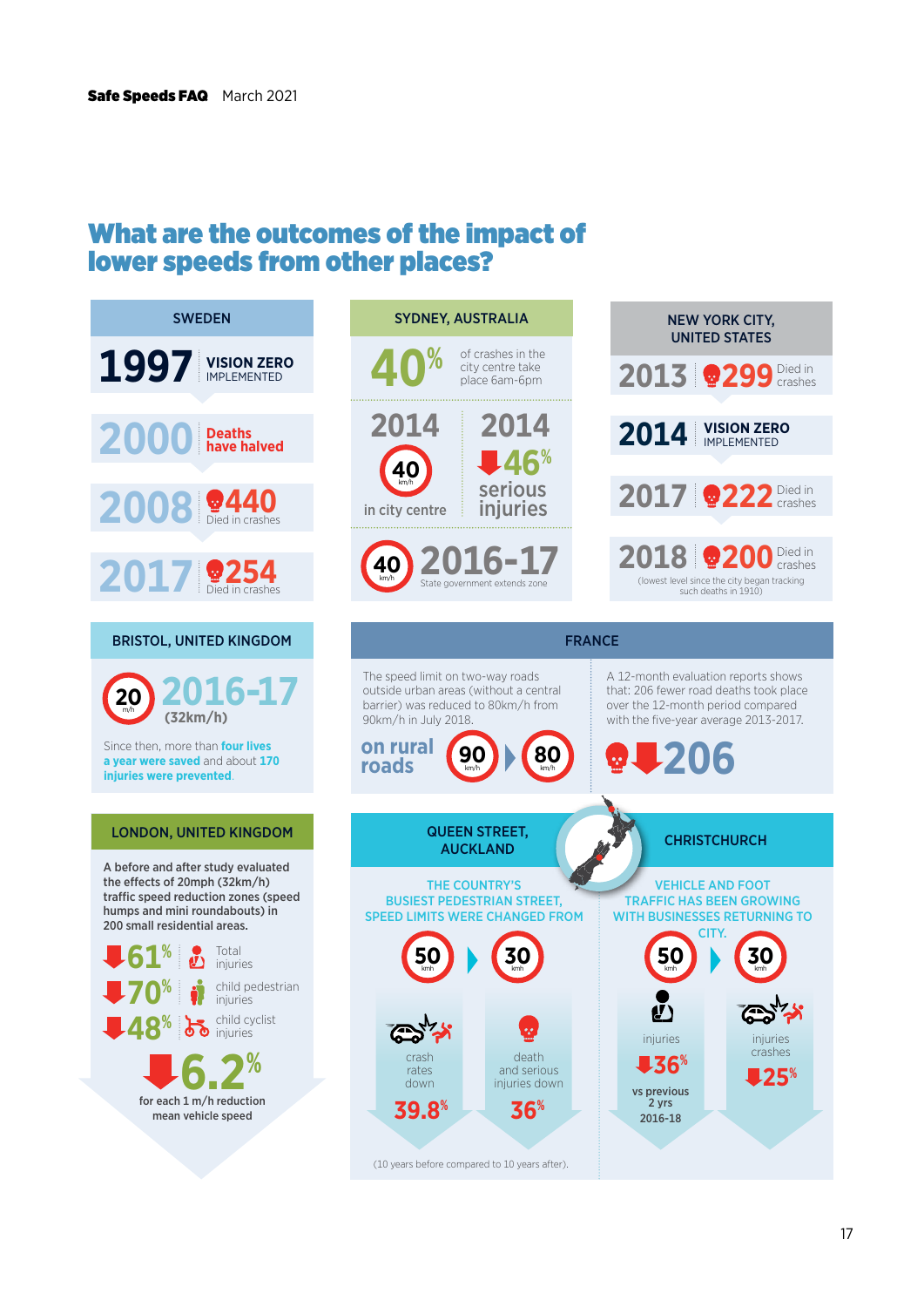## What are the outcomes of the impact of lower speeds from other places?



**6.2%**<br>for each 1 m/h reduction mean vehicle speed 



**36%**

death

crash rates down **39.8%**

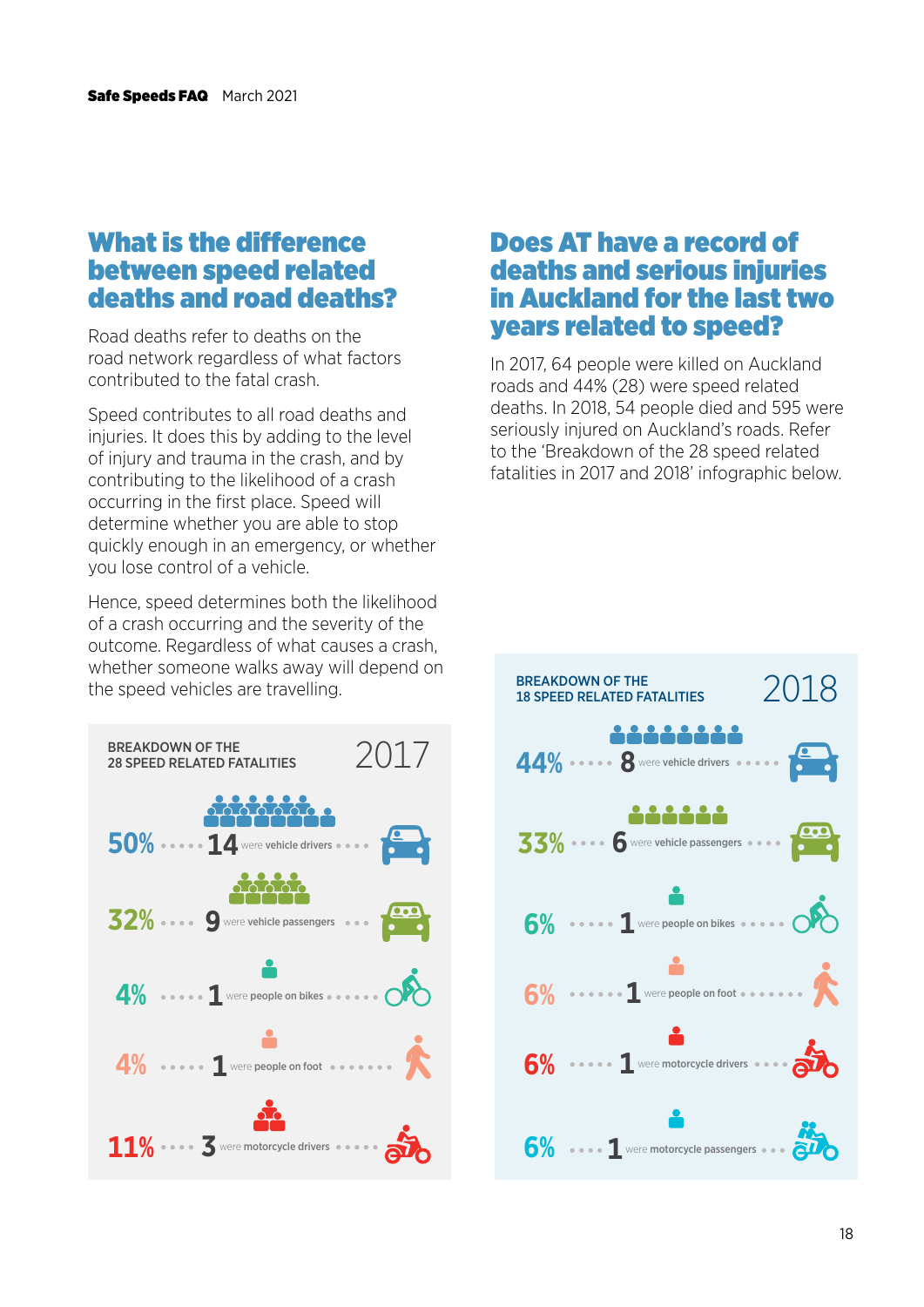## What is the difference between speed related deaths and road deaths?

Road deaths refer to deaths on the road network regardless of what factors contributed to the fatal crash.

Speed contributes to all road deaths and injuries. It does this by adding to the level of injury and trauma in the crash, and by contributing to the likelihood of a crash occurring in the first place. Speed will determine whether you are able to stop quickly enough in an emergency, or whether you lose control of a vehicle.

Hence, speed determines both the likelihood of a crash occurring and the severity of the outcome. Regardless of what causes a crash, whether someone walks away will depend on the speed vehicles are travelling.



## Does AT have a record of deaths and serious injuries in Auckland for the last two years related to speed?

In 2017, 64 people were killed on Auckland roads and 44% (28) were speed related deaths. In 2018, 54 people died and 595 were seriously injured on Auckland's roads. Refer to the 'Breakdown of the 28 speed related fatalities in 2017 and 2018' infographic below.

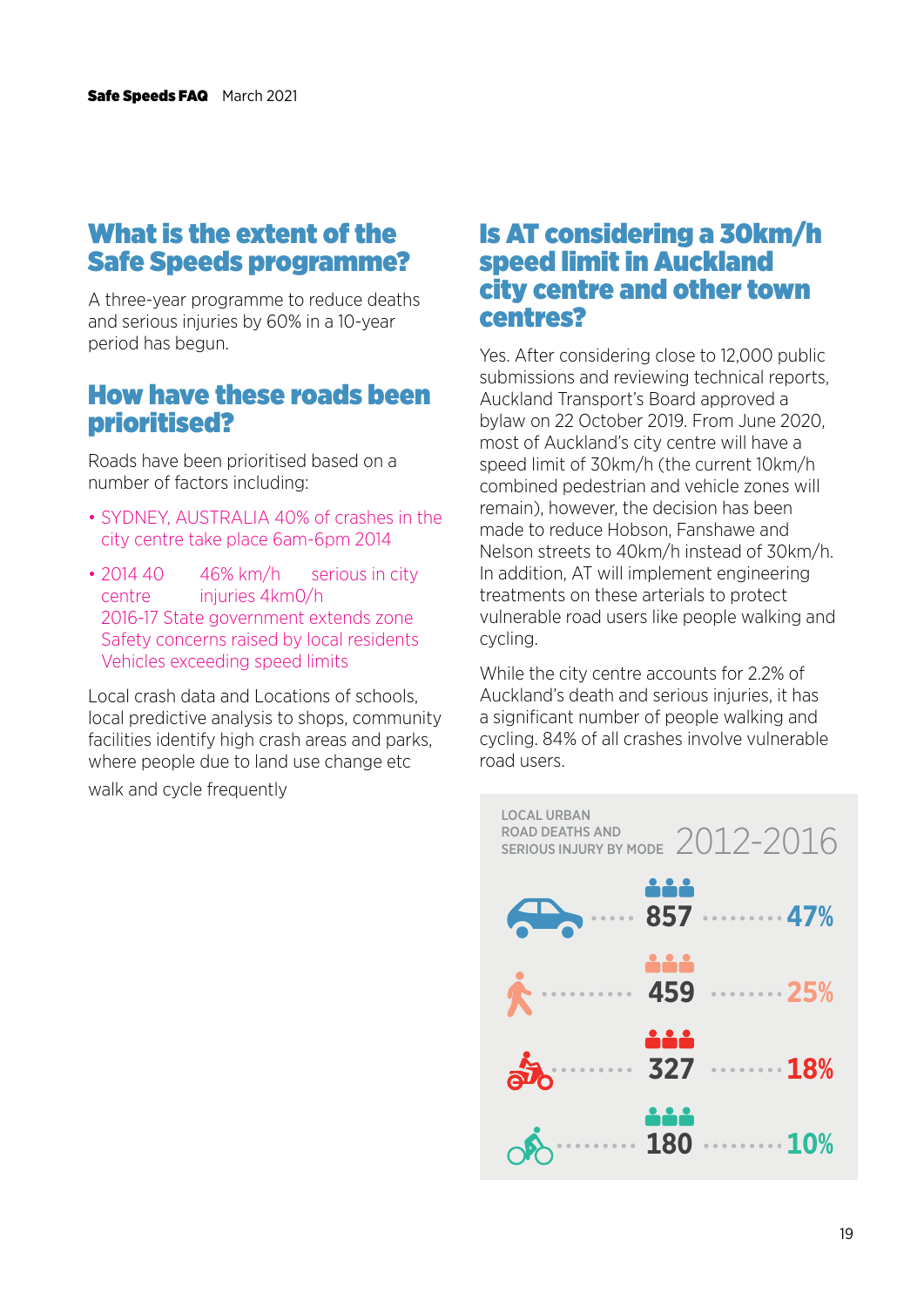# What is the extent of the Safe Speeds programme?

A three-year programme to reduce deaths and serious injuries by 60% in a 10-year period has begun.

### How have these roads been prioritised?

Roads have been prioritised based on a number of factors including:

- SYDNEY, AUSTRALIA 40% of crashes in the city centre take place 6am-6pm 2014
- 2014 40 46% km/h serious in city centre injuries 4km0/h 2016-17 State government extends zone Safety concerns raised by local residents Vehicles exceeding speed limits

Local crash data and Locations of schools, local predictive analysis to shops, community facilities identify high crash areas and parks, where people due to land use change etc

walk and cycle frequently

## Is AT considering a 30km/h speed limit in Auckland city centre and other town centres?

Yes. After considering close to 12,000 public submissions and reviewing technical reports, Auckland Transport's Board approved a bylaw on 22 October 2019. From June 2020, most of Auckland's city centre will have a speed limit of 30km/h (the current 10km/h combined pedestrian and vehicle zones will remain), however, the decision has been made to reduce Hobson, Fanshawe and Nelson streets to 40km/h instead of 30km/h. In addition, AT will implement engineering treatments on these arterials to protect vulnerable road users like people walking and cycling.

While the city centre accounts for 2.2% of Auckland's death and serious injuries, it has a significant number of people walking and cycling. 84% of all crashes involve vulnerable road users.

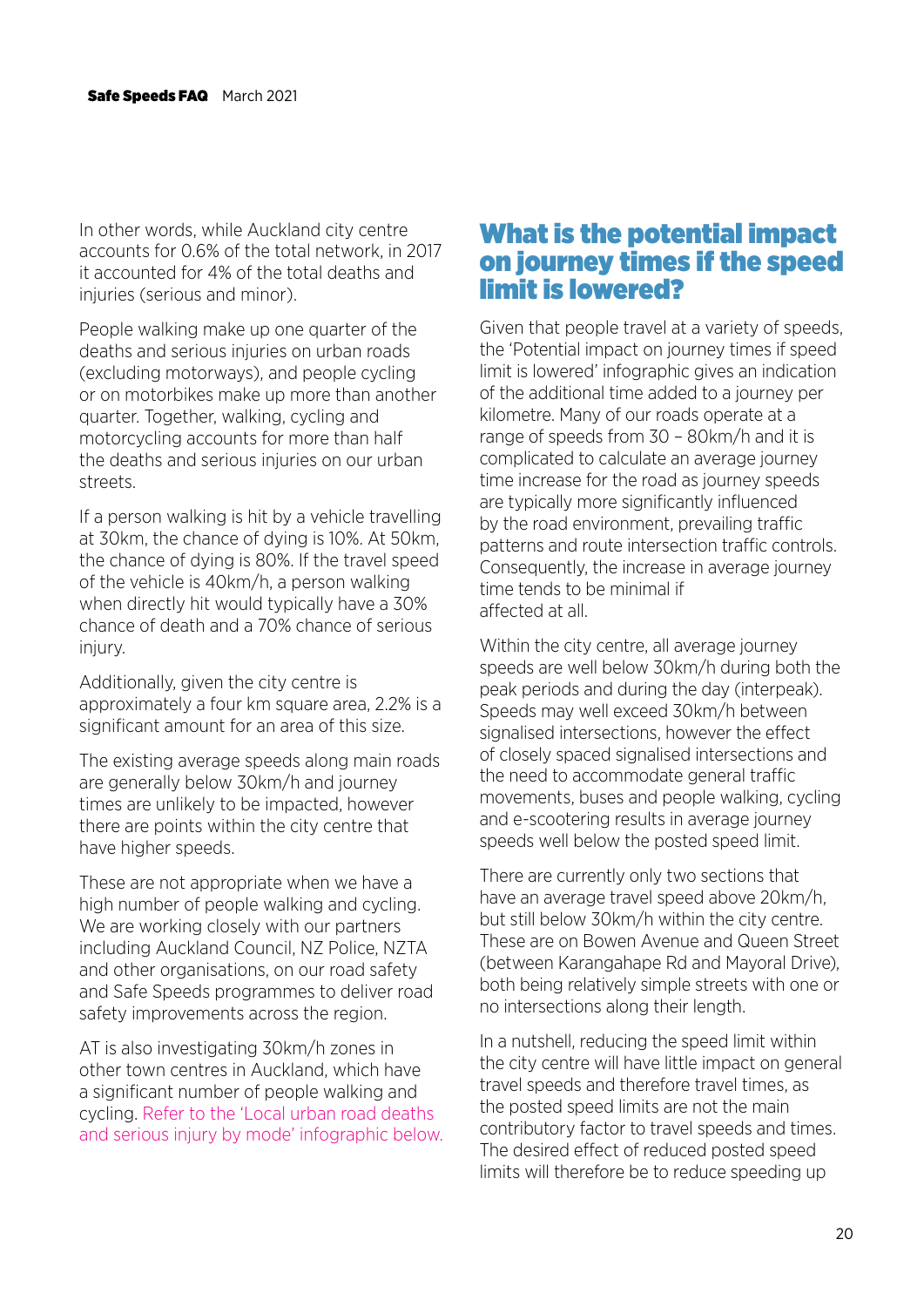In other words, while Auckland city centre accounts for 0.6% of the total network, in 2017 it accounted for 4% of the total deaths and injuries (serious and minor).

People walking make up one quarter of the deaths and serious injuries on urban roads (excluding motorways), and people cycling or on motorbikes make up more than another quarter. Together, walking, cycling and motorcycling accounts for more than half the deaths and serious injuries on our urban streets.

If a person walking is hit by a vehicle travelling at 30km, the chance of dying is 10%. At 50km, the chance of dying is 80%. If the travel speed of the vehicle is 40km/h, a person walking when directly hit would typically have a 30% chance of death and a 70% chance of serious injury.

Additionally, given the city centre is approximately a four km square area, 2.2% is a significant amount for an area of this size.

The existing average speeds along main roads are generally below 30km/h and journey times are unlikely to be impacted, however there are points within the city centre that have higher speeds.

These are not appropriate when we have a high number of people walking and cycling. We are working closely with our partners including Auckland Council, NZ Police, NZTA and other organisations, on our road safety and Safe Speeds programmes to deliver road safety improvements across the region.

AT is also investigating 30km/h zones in other town centres in Auckland, which have a significant number of people walking and cycling. Refer to the 'Local urban road deaths and serious injury by mode' infographic below.

## What is the potential impact on journey times if the speed limit is lowered?

Given that people travel at a variety of speeds, the 'Potential impact on journey times if speed limit is lowered' infographic gives an indication of the additional time added to a journey per kilometre. Many of our roads operate at a range of speeds from 30 – 80km/h and it is complicated to calculate an average journey time increase for the road as journey speeds are typically more significantly influenced by the road environment, prevailing traffic patterns and route intersection traffic controls. Consequently, the increase in average journey time tends to be minimal if affected at all.

Within the city centre, all average journey speeds are well below 30km/h during both the peak periods and during the day (interpeak). Speeds may well exceed 30km/h between signalised intersections, however the effect of closely spaced signalised intersections and the need to accommodate general traffic movements, buses and people walking, cycling and e-scootering results in average journey speeds well below the posted speed limit.

There are currently only two sections that have an average travel speed above 20km/h, but still below 30km/h within the city centre. These are on Bowen Avenue and Queen Street (between Karangahape Rd and Mayoral Drive), both being relatively simple streets with one or no intersections along their length.

In a nutshell, reducing the speed limit within the city centre will have little impact on general travel speeds and therefore travel times, as the posted speed limits are not the main contributory factor to travel speeds and times. The desired effect of reduced posted speed limits will therefore be to reduce speeding up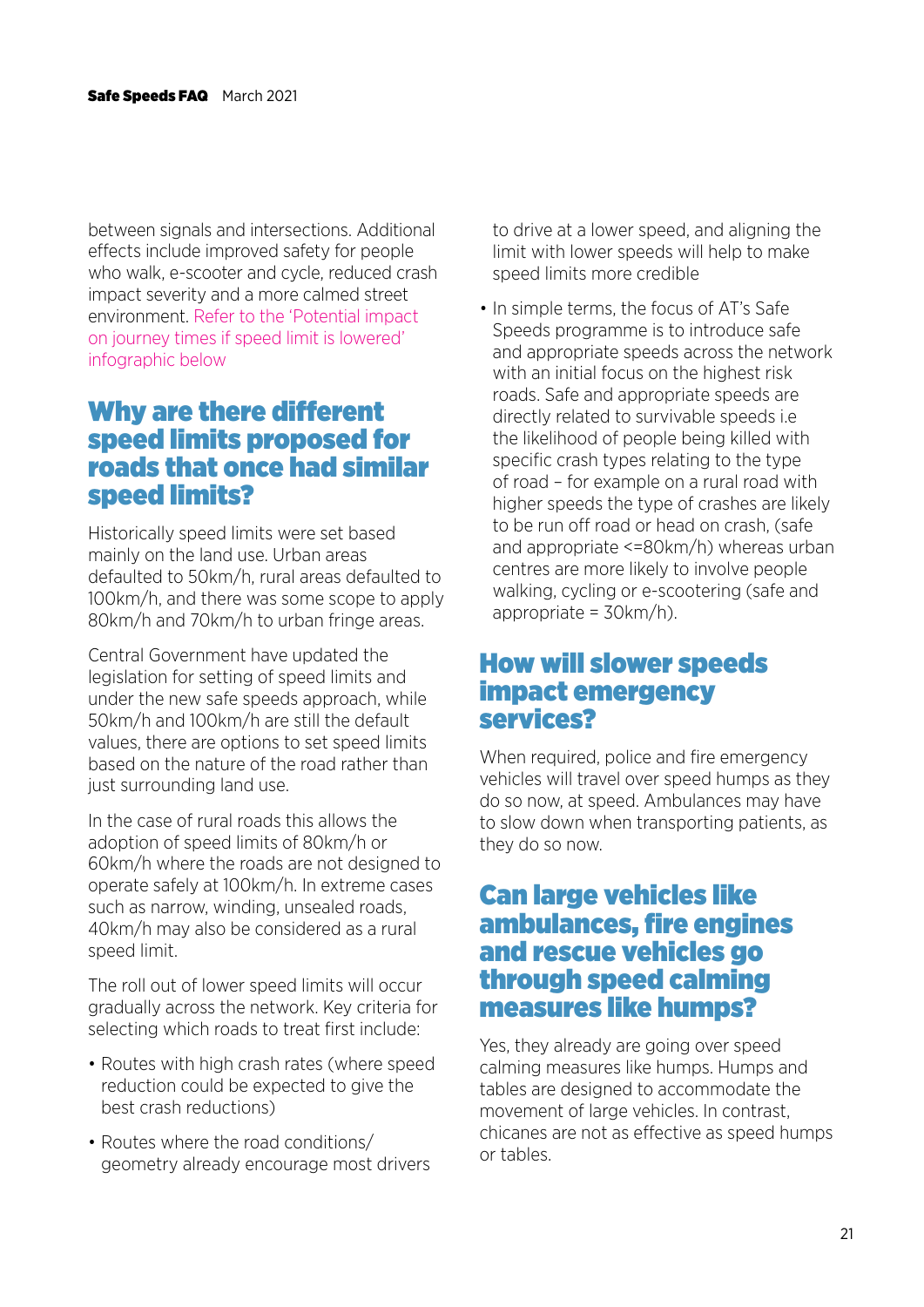between signals and intersections. Additional effects include improved safety for people who walk, e-scooter and cycle, reduced crash impact severity and a more calmed street environment. Refer to the 'Potential impact on journey times if speed limit is lowered' infographic below

## Why are there different speed limits proposed for roads that once had similar speed limits?

Historically speed limits were set based mainly on the land use. Urban areas defaulted to 50km/h, rural areas defaulted to 100km/h, and there was some scope to apply 80km/h and 70km/h to urban fringe areas.

Central Government have updated the legislation for setting of speed limits and under the new safe speeds approach, while 50km/h and 100km/h are still the default values, there are options to set speed limits based on the nature of the road rather than just surrounding land use.

In the case of rural roads this allows the adoption of speed limits of 80km/h or 60km/h where the roads are not designed to operate safely at 100km/h. In extreme cases such as narrow, winding, unsealed roads, 40km/h may also be considered as a rural speed limit.

The roll out of lower speed limits will occur gradually across the network. Key criteria for selecting which roads to treat first include:

- Routes with high crash rates (where speed reduction could be expected to give the best crash reductions)
- Routes where the road conditions/ geometry already encourage most drivers

to drive at a lower speed, and aligning the limit with lower speeds will help to make speed limits more credible

• In simple terms, the focus of AT's Safe Speeds programme is to introduce safe and appropriate speeds across the network with an initial focus on the highest risk roads. Safe and appropriate speeds are directly related to survivable speeds i.e the likelihood of people being killed with specific crash types relating to the type of road – for example on a rural road with higher speeds the type of crashes are likely to be run off road or head on crash, (safe and appropriate <=80km/h) whereas urban centres are more likely to involve people walking, cycling or e-scootering (safe and appropriate = 30km/h).

### How will slower speeds impact emergency services?

When required, police and fire emergency vehicles will travel over speed humps as they do so now, at speed. Ambulances may have to slow down when transporting patients, as they do so now.

## Can large vehicles like ambulances, fire engines and rescue vehicles go through speed calming measures like humps?

Yes, they already are going over speed calming measures like humps. Humps and tables are designed to accommodate the movement of large vehicles. In contrast, chicanes are not as effective as speed humps or tables.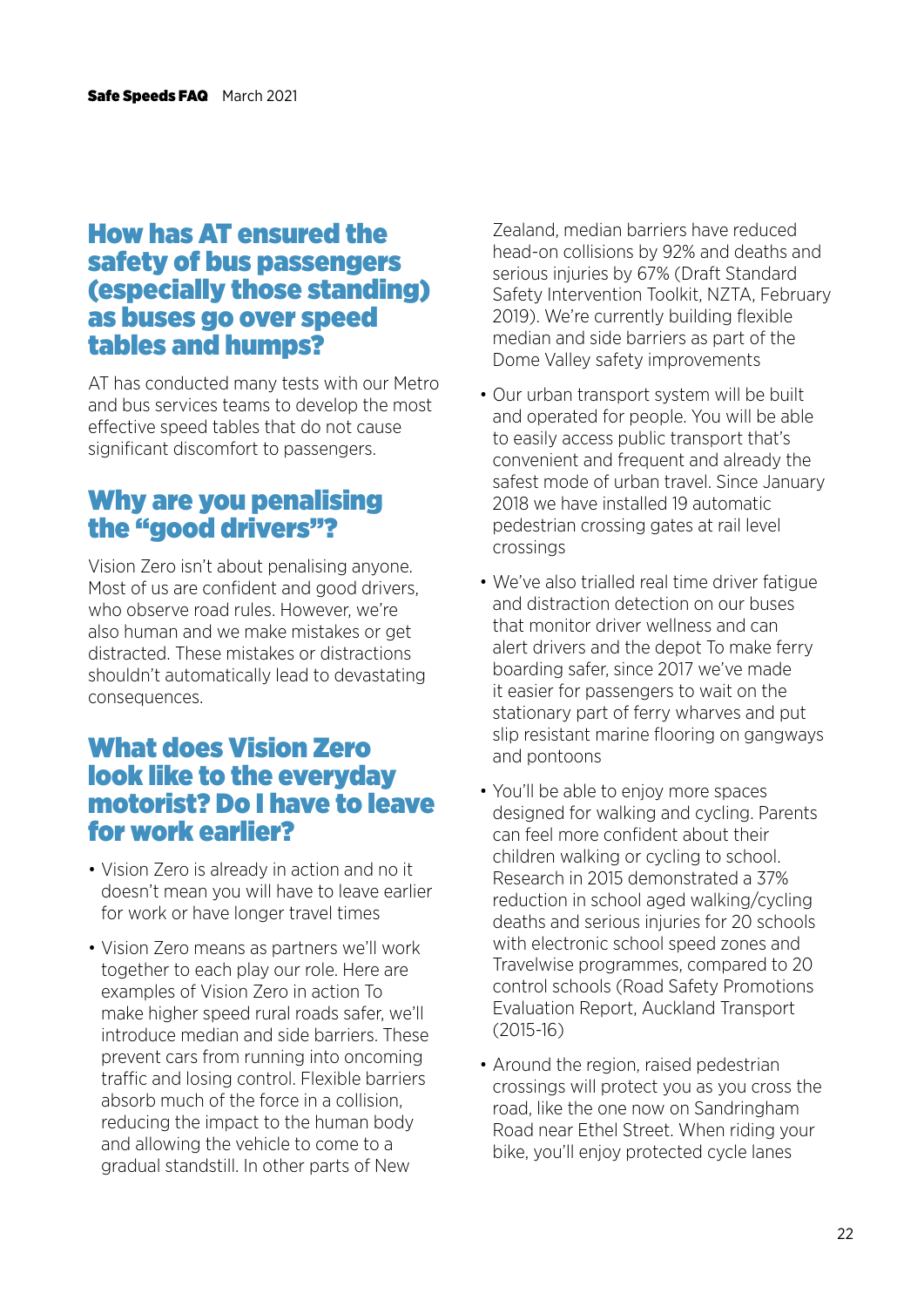## How has AT ensured the safety of bus passengers (especially those standing) as buses go over speed tables and humps?

AT has conducted many tests with our Metro and bus services teams to develop the most effective speed tables that do not cause significant discomfort to passengers.

### Why are you penalising the "good drivers"?

Vision Zero isn't about penalising anyone. Most of us are confident and good drivers, who observe road rules. However, we're also human and we make mistakes or get distracted. These mistakes or distractions shouldn't automatically lead to devastating consequences.

## What does Vision Zero look like to the everyday motorist? Do I have to leave for work earlier?

- Vision Zero is already in action and no it doesn't mean you will have to leave earlier for work or have longer travel times
- Vision Zero means as partners we'll work together to each play our role. Here are examples of Vision Zero in action To make higher speed rural roads safer, we'll introduce median and side barriers. These prevent cars from running into oncoming traffic and losing control. Flexible barriers absorb much of the force in a collision, reducing the impact to the human body and allowing the vehicle to come to a gradual standstill. In other parts of New

Zealand, median barriers have reduced head-on collisions by 92% and deaths and serious injuries by 67% (Draft Standard Safety Intervention Toolkit, NZTA, February 2019). We're currently building flexible median and side barriers as part of the Dome Valley safety improvements

- Our urban transport system will be built and operated for people. You will be able to easily access public transport that's convenient and frequent and already the safest mode of urban travel. Since January 2018 we have installed 19 automatic pedestrian crossing gates at rail level crossings
- We've also trialled real time driver fatigue and distraction detection on our buses that monitor driver wellness and can alert drivers and the depot To make ferry boarding safer, since 2017 we've made it easier for passengers to wait on the stationary part of ferry wharves and put slip resistant marine flooring on gangways and pontoons
- You'll be able to enjoy more spaces designed for walking and cycling. Parents can feel more confident about their children walking or cycling to school. Research in 2015 demonstrated a 37% reduction in school aged walking/cycling deaths and serious injuries for 20 schools with electronic school speed zones and Travelwise programmes, compared to 20 control schools (Road Safety Promotions Evaluation Report, Auckland Transport (2015-16)
- Around the region, raised pedestrian crossings will protect you as you cross the road, like the one now on Sandringham Road near Ethel Street. When riding your bike, you'll enjoy protected cycle lanes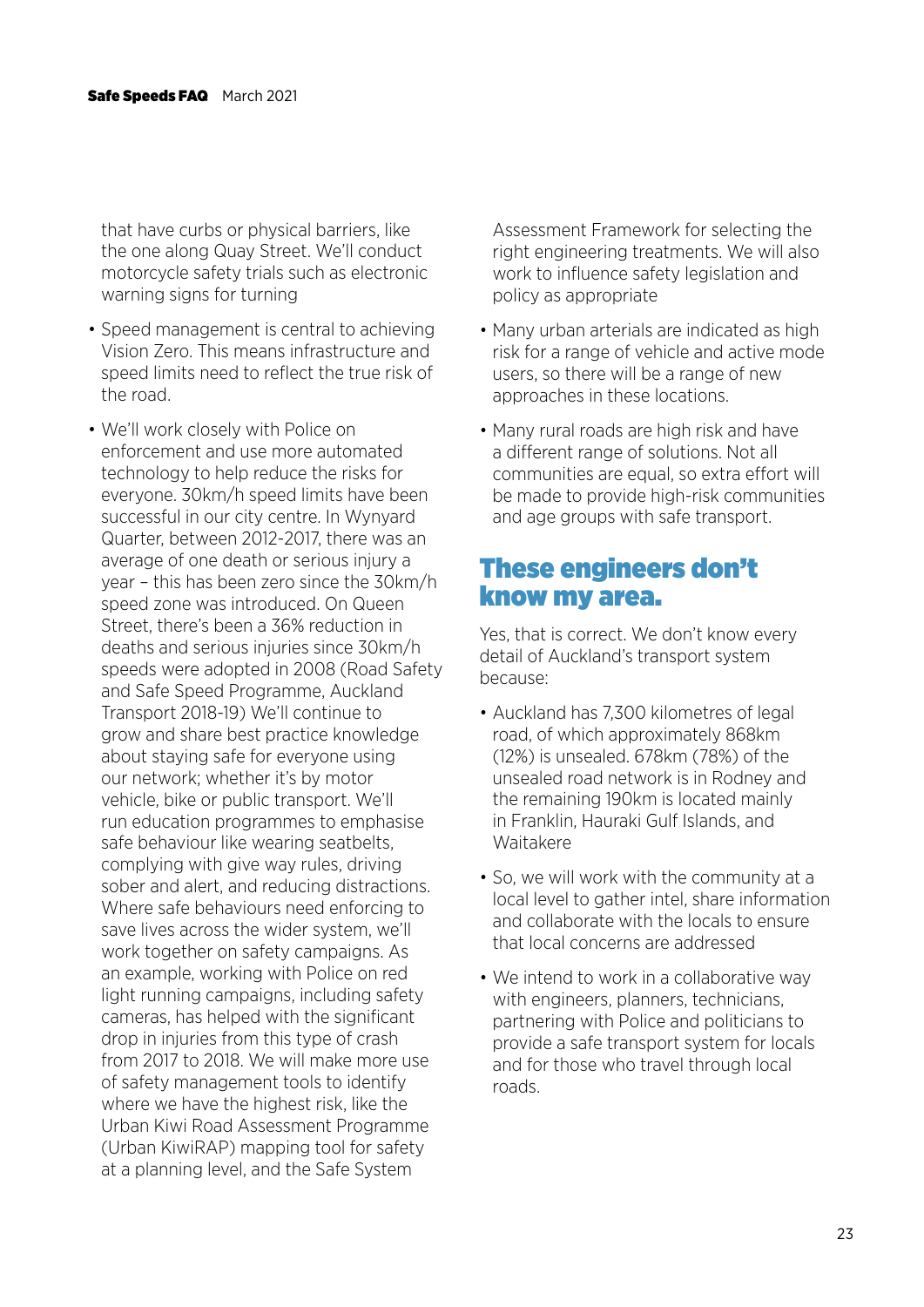that have curbs or physical barriers, like the one along Quay Street. We'll conduct motorcycle safety trials such as electronic warning signs for turning

- Speed management is central to achieving Vision Zero. This means infrastructure and speed limits need to reflect the true risk of the road.
- We'll work closely with Police on enforcement and use more automated technology to help reduce the risks for everyone. 30km/h speed limits have been successful in our city centre. In Wynyard Quarter, between 2012-2017, there was an average of one death or serious injury a year – this has been zero since the 30km/h speed zone was introduced. On Queen Street, there's been a 36% reduction in deaths and serious injuries since 30km/h speeds were adopted in 2008 (Road Safety and Safe Speed Programme, Auckland Transport 2018-19) We'll continue to grow and share best practice knowledge about staying safe for everyone using our network; whether it's by motor vehicle, bike or public transport. We'll run education programmes to emphasise safe behaviour like wearing seatbelts, complying with give way rules, driving sober and alert, and reducing distractions. Where safe behaviours need enforcing to save lives across the wider system, we'll work together on safety campaigns. As an example, working with Police on red light running campaigns, including safety cameras, has helped with the significant drop in injuries from this type of crash from 2017 to 2018. We will make more use of safety management tools to identify where we have the highest risk, like the Urban Kiwi Road Assessment Programme (Urban KiwiRAP) mapping tool for safety at a planning level, and the Safe System

Assessment Framework for selecting the right engineering treatments. We will also work to influence safety legislation and policy as appropriate

- Many urban arterials are indicated as high risk for a range of vehicle and active mode users, so there will be a range of new approaches in these locations.
- Many rural roads are high risk and have a different range of solutions. Not all communities are equal, so extra effort will be made to provide high-risk communities and age groups with safe transport.

### These engineers don't know my area.

Yes, that is correct. We don't know every detail of Auckland's transport system because:

- Auckland has 7,300 kilometres of legal road, of which approximately 868km (12%) is unsealed. 678km (78%) of the unsealed road network is in Rodney and the remaining 190km is located mainly in Franklin, Hauraki Gulf Islands, and Waitakere
- So, we will work with the community at a local level to gather intel, share information and collaborate with the locals to ensure that local concerns are addressed
- We intend to work in a collaborative way with engineers, planners, technicians, partnering with Police and politicians to provide a safe transport system for locals and for those who travel through local roads.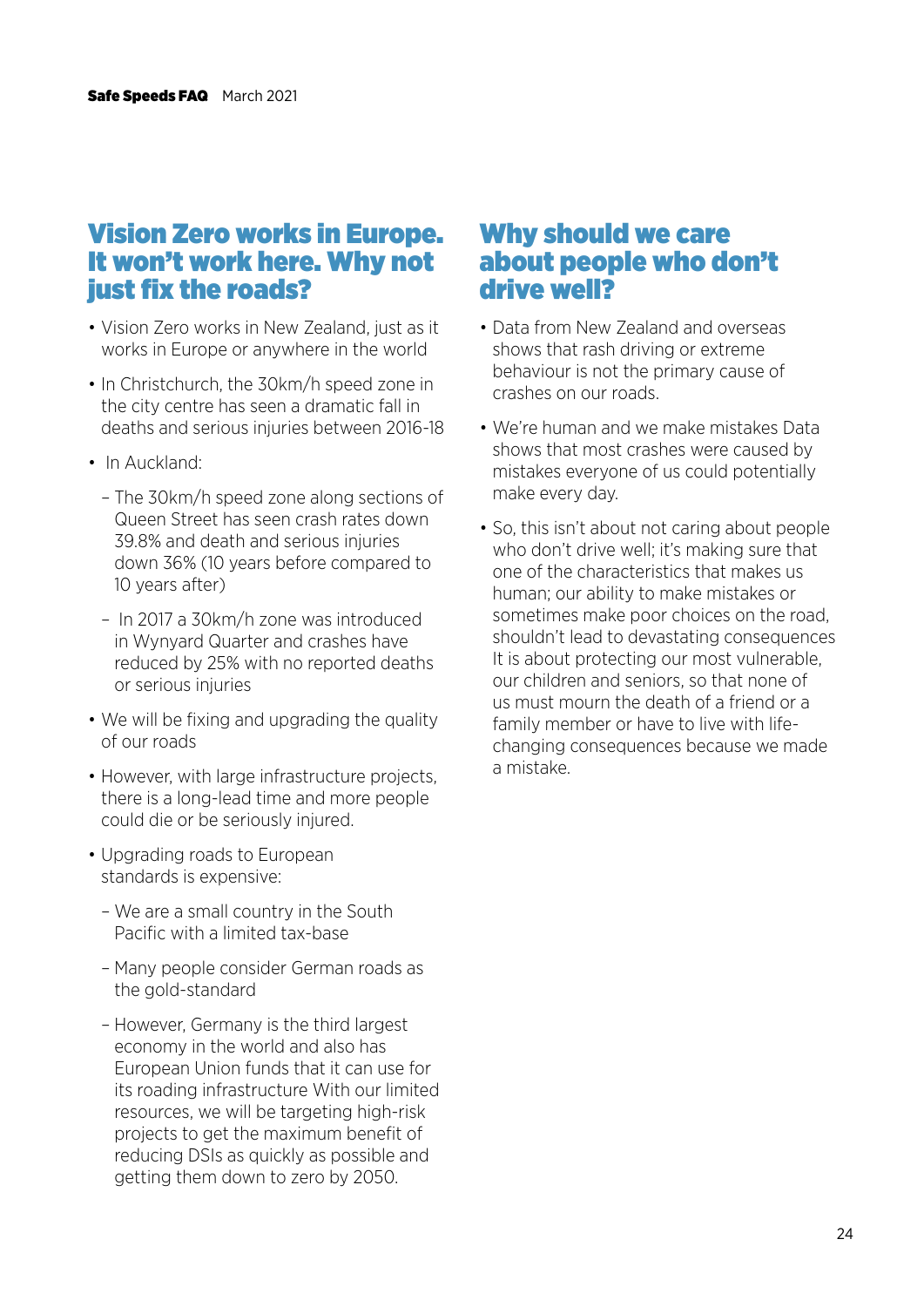## Vision Zero works in Europe. It won't work here. Why not just fix the roads?

- Vision Zero works in New Zealand, just as it works in Europe or anywhere in the world
- In Christchurch, the 30km/h speed zone in the city centre has seen a dramatic fall in deaths and serious injuries between 2016-18
- In Auckland:
	- The 30km/h speed zone along sections of Queen Street has seen crash rates down 39.8% and death and serious injuries down 36% (10 years before compared to 10 years after)
	- In 2017 a 30km/h zone was introduced in Wynyard Quarter and crashes have reduced by 25% with no reported deaths or serious injuries
- We will be fixing and upgrading the quality of our roads
- However, with large infrastructure projects, there is a long-lead time and more people could die or be seriously injured.
- Upgrading roads to European standards is expensive:
	- We are a small country in the South Pacific with a limited tax-base
	- Many people consider German roads as the gold-standard
	- However, Germany is the third largest economy in the world and also has European Union funds that it can use for its roading infrastructure With our limited resources, we will be targeting high-risk projects to get the maximum benefit of reducing DSIs as quickly as possible and getting them down to zero by 2050.

## Why should we care about people who don't drive well?

- Data from New Zealand and overseas shows that rash driving or extreme behaviour is not the primary cause of crashes on our roads.
- We're human and we make mistakes Data shows that most crashes were caused by mistakes everyone of us could potentially make every day.
- So, this isn't about not caring about people who don't drive well; it's making sure that one of the characteristics that makes us human; our ability to make mistakes or sometimes make poor choices on the road, shouldn't lead to devastating consequences It is about protecting our most vulnerable, our children and seniors, so that none of us must mourn the death of a friend or a family member or have to live with lifechanging consequences because we made a mistake.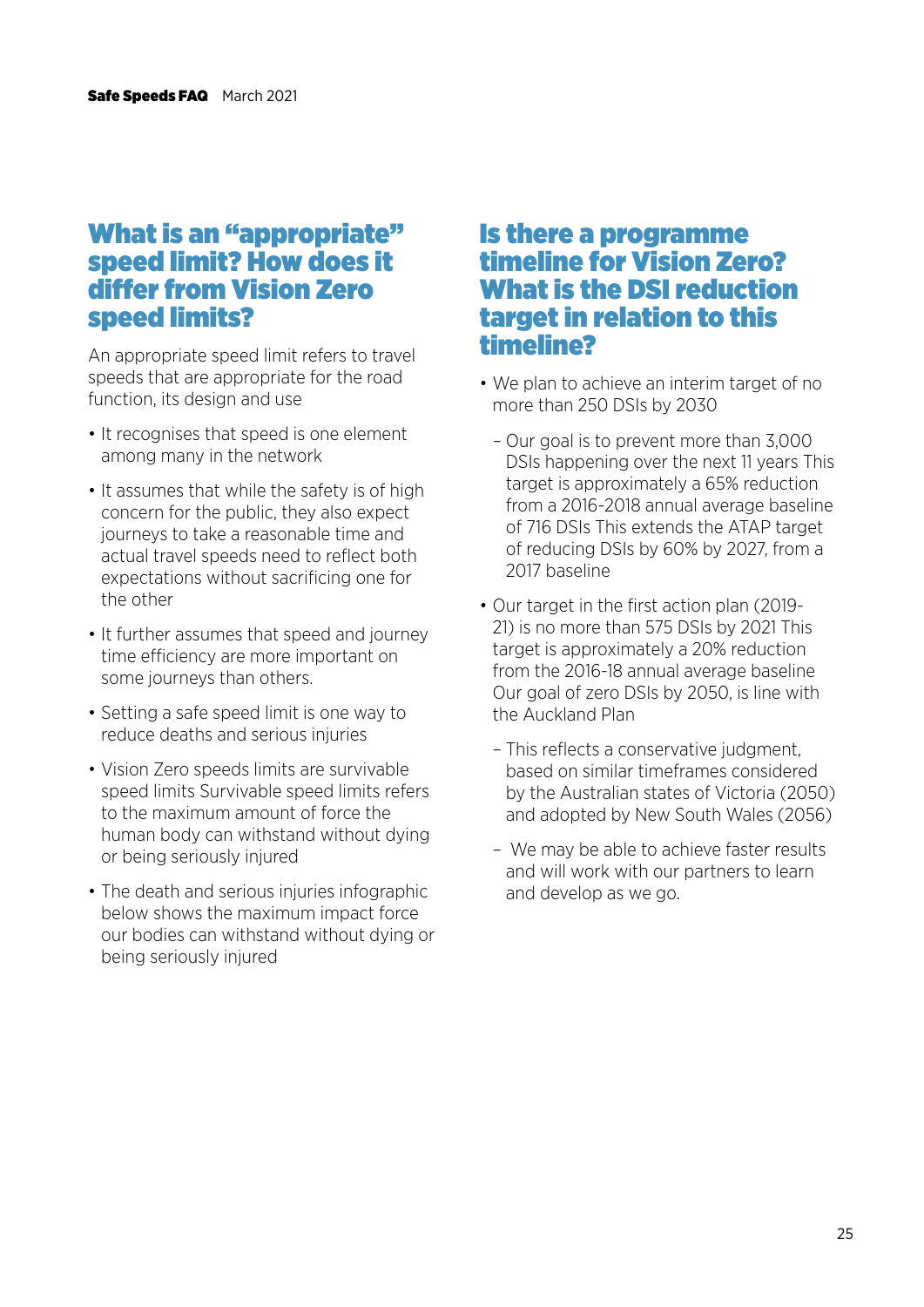## What is an "appropriate" speed limit? How does it differ from Vision Zero speed limits?

An appropriate speed limit refers to travel speeds that are appropriate for the road function, its design and use

- It recognises that speed is one element among many in the network
- It assumes that while the safety is of high concern for the public, they also expect journeys to take a reasonable time and actual travel speeds need to reflect both expectations without sacrificing one for the other
- It further assumes that speed and journey time efficiency are more important on some journeys than others.
- Setting a safe speed limit is one way to reduce deaths and serious injuries
- Vision Zero speeds limits are survivable speed limits Survivable speed limits refers to the maximum amount of force the human body can withstand without dying or being seriously injured
- The death and serious injuries infographic below shows the maximum impact force our bodies can withstand without dying or being seriously injured

## Is there a programme timeline for Vision Zero? What is the DSI reduction target in relation to this timeline?

- We plan to achieve an interim target of no more than 250 DSIs by 2030
	- Our goal is to prevent more than 3,000 DSIs happening over the next 11 years This target is approximately a 65% reduction from a 2016-2018 annual average baseline of 716 DSIs This extends the ATAP target of reducing DSIs by 60% by 2027, from a 2017 baseline
- Our target in the first action plan (2019- 21) is no more than 575 DSIs by 2021 This target is approximately a 20% reduction from the 2016-18 annual average baseline Our goal of zero DSIs by 2050, is line with the Auckland Plan
	- This reflects a conservative judgment, based on similar timeframes considered by the Australian states of Victoria (2050) and adopted by New South Wales (2056)
	- We may be able to achieve faster results and will work with our partners to learn and develop as we go.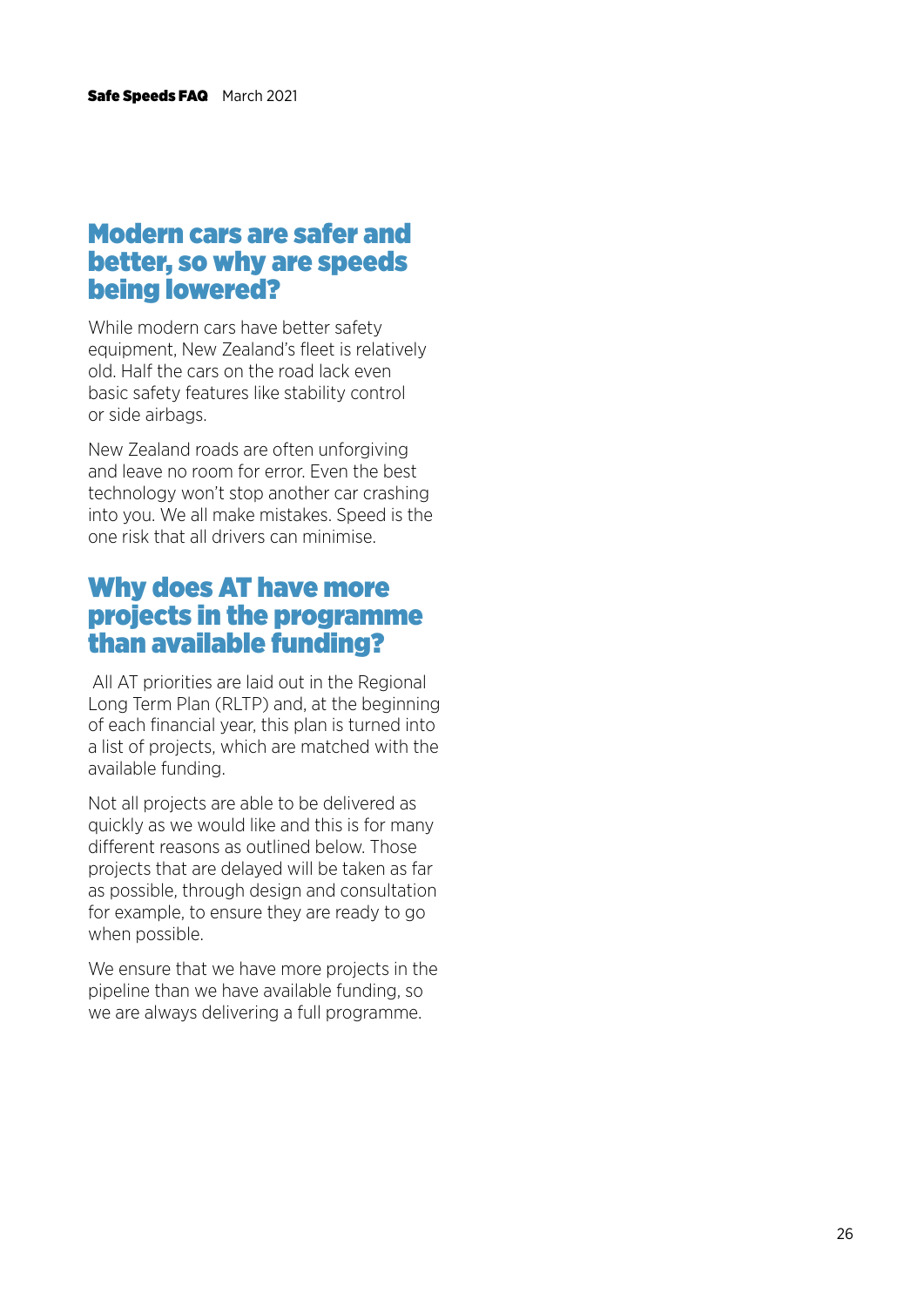## Modern cars are safer and better, so why are speeds being lowered?

While modern cars have better safety equipment, New Zealand's fleet is relatively old. Half the cars on the road lack even basic safety features like stability control or side airbags.

New Zealand roads are often unforgiving and leave no room for error. Even the best technology won't stop another car crashing into you. We all make mistakes. Speed is the one risk that all drivers can minimise.

## Why does AT have more projects in the programme than available funding?

All AT priorities are laid out in the Regional Long Term Plan (RLTP) and, at the beginning of each financial year, this plan is turned into a list of projects, which are matched with the available funding.

Not all projects are able to be delivered as quickly as we would like and this is for many different reasons as outlined below. Those projects that are delayed will be taken as far as possible, through design and consultation for example, to ensure they are ready to go when possible.

We ensure that we have more projects in the pipeline than we have available funding, so we are always delivering a full programme.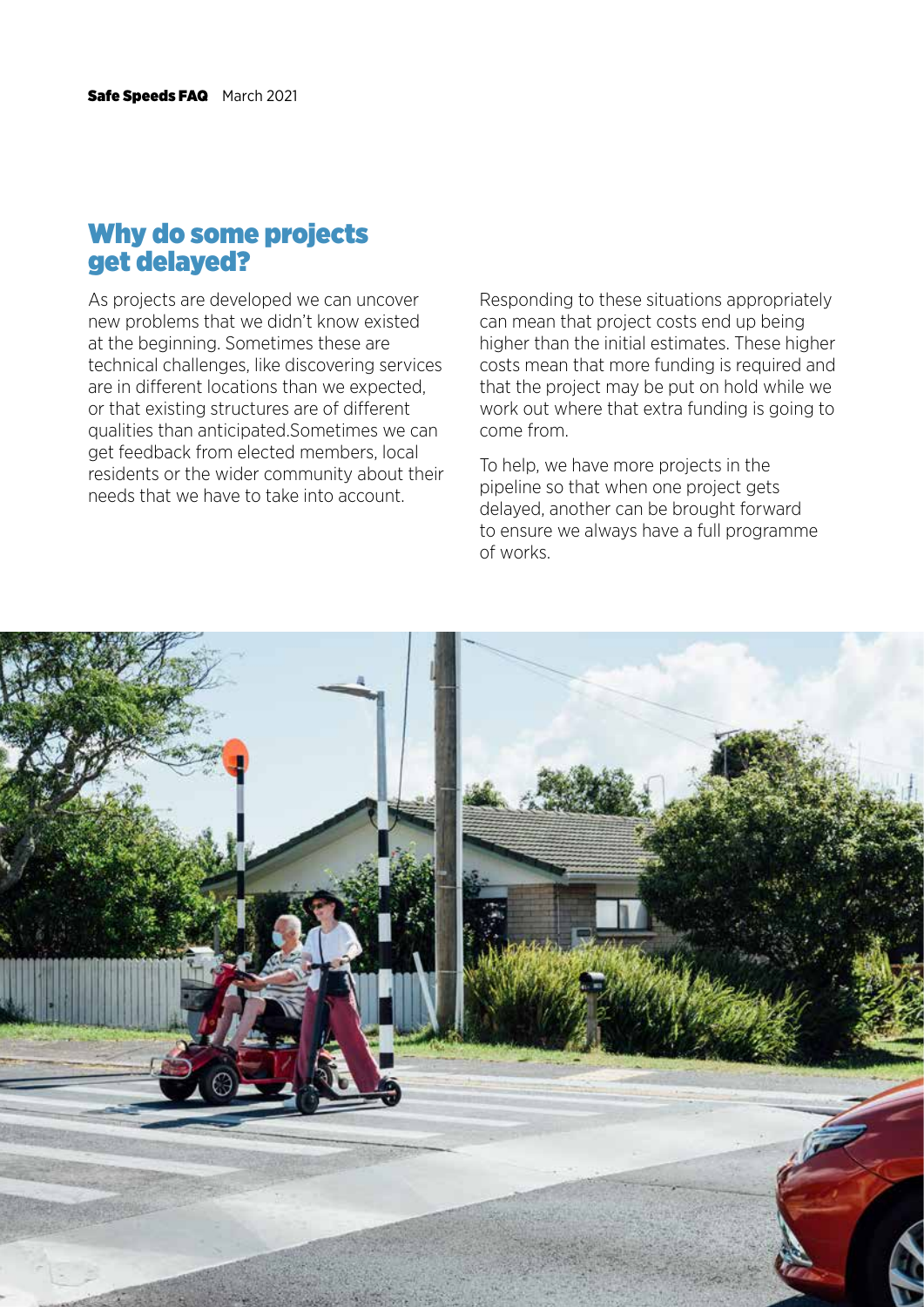## Why do some projects get delayed?

As projects are developed we can uncover new problems that we didn't know existed at the beginning. Sometimes these are technical challenges, like discovering services are in different locations than we expected, or that existing structures are of different qualities than anticipated.Sometimes we can get feedback from elected members, local residents or the wider community about their needs that we have to take into account.

Responding to these situations appropriately can mean that project costs end up being higher than the initial estimates. These higher costs mean that more funding is required and that the project may be put on hold while we work out where that extra funding is going to come from.

To help, we have more projects in the pipeline so that when one project gets delayed, another can be brought forward to ensure we always have a full programme of works.

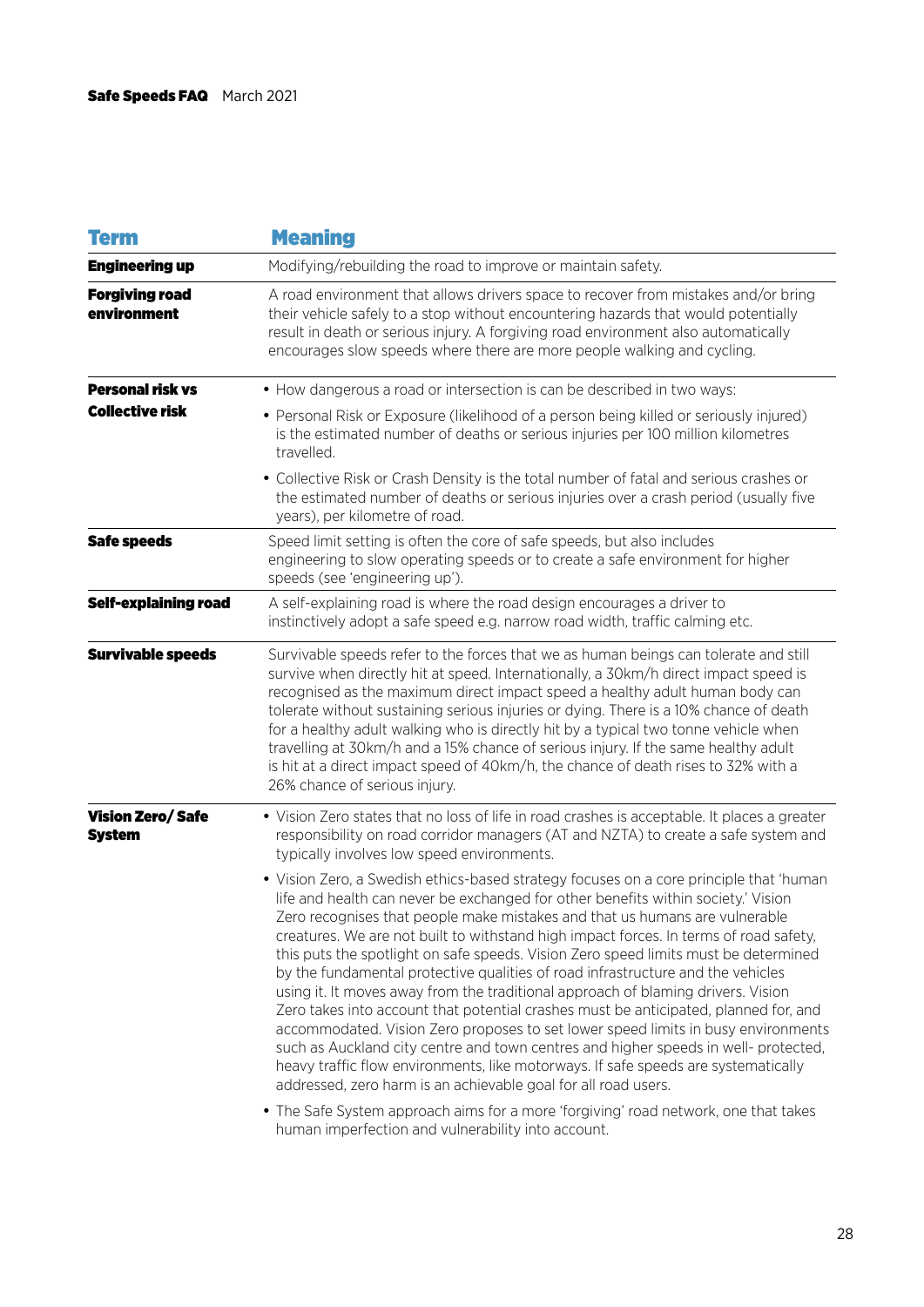| <b>Term</b>                          | <b>Meaning</b>                                                                                                                                                                                                                                                                                                                                                                                                                                                                                                                                                                                                                                                                                                                                                                                                                                                                                                                                                                                                                                                                                                                       |
|--------------------------------------|--------------------------------------------------------------------------------------------------------------------------------------------------------------------------------------------------------------------------------------------------------------------------------------------------------------------------------------------------------------------------------------------------------------------------------------------------------------------------------------------------------------------------------------------------------------------------------------------------------------------------------------------------------------------------------------------------------------------------------------------------------------------------------------------------------------------------------------------------------------------------------------------------------------------------------------------------------------------------------------------------------------------------------------------------------------------------------------------------------------------------------------|
| <b>Engineering up</b>                | Modifying/rebuilding the road to improve or maintain safety.                                                                                                                                                                                                                                                                                                                                                                                                                                                                                                                                                                                                                                                                                                                                                                                                                                                                                                                                                                                                                                                                         |
| <b>Forgiving road</b><br>environment | A road environment that allows drivers space to recover from mistakes and/or bring<br>their vehicle safely to a stop without encountering hazards that would potentially<br>result in death or serious injury. A forgiving road environment also automatically<br>encourages slow speeds where there are more people walking and cycling.                                                                                                                                                                                                                                                                                                                                                                                                                                                                                                                                                                                                                                                                                                                                                                                            |
| <b>Personal risk vs</b>              | • How dangerous a road or intersection is can be described in two ways:                                                                                                                                                                                                                                                                                                                                                                                                                                                                                                                                                                                                                                                                                                                                                                                                                                                                                                                                                                                                                                                              |
| <b>Collective risk</b>               | • Personal Risk or Exposure (likelihood of a person being killed or seriously injured)<br>is the estimated number of deaths or serious injuries per 100 million kilometres<br>travelled.                                                                                                                                                                                                                                                                                                                                                                                                                                                                                                                                                                                                                                                                                                                                                                                                                                                                                                                                             |
|                                      | • Collective Risk or Crash Density is the total number of fatal and serious crashes or<br>the estimated number of deaths or serious injuries over a crash period (usually five<br>years), per kilometre of road.                                                                                                                                                                                                                                                                                                                                                                                                                                                                                                                                                                                                                                                                                                                                                                                                                                                                                                                     |
| <b>Safe speeds</b>                   | Speed limit setting is often the core of safe speeds, but also includes<br>engineering to slow operating speeds or to create a safe environment for higher<br>speeds (see 'engineering up').                                                                                                                                                                                                                                                                                                                                                                                                                                                                                                                                                                                                                                                                                                                                                                                                                                                                                                                                         |
| <b>Self-explaining road</b>          | A self-explaining road is where the road design encourages a driver to<br>instinctively adopt a safe speed e.g. narrow road width, traffic calming etc.                                                                                                                                                                                                                                                                                                                                                                                                                                                                                                                                                                                                                                                                                                                                                                                                                                                                                                                                                                              |
| <b>Survivable speeds</b>             | Survivable speeds refer to the forces that we as human beings can tolerate and still<br>survive when directly hit at speed. Internationally, a 30km/h direct impact speed is<br>recognised as the maximum direct impact speed a healthy adult human body can<br>tolerate without sustaining serious injuries or dying. There is a 10% chance of death<br>for a healthy adult walking who is directly hit by a typical two tonne vehicle when<br>travelling at 30km/h and a 15% chance of serious injury. If the same healthy adult<br>is hit at a direct impact speed of 40km/h, the chance of death rises to 32% with a<br>26% chance of serious injury.                                                                                                                                                                                                                                                                                                                                                                                                                                                                            |
| Vision Zero/Safe<br><b>System</b>    | • Vision Zero states that no loss of life in road crashes is acceptable. It places a greater<br>responsibility on road corridor managers (AT and NZTA) to create a safe system and<br>typically involves low speed environments.                                                                                                                                                                                                                                                                                                                                                                                                                                                                                                                                                                                                                                                                                                                                                                                                                                                                                                     |
|                                      | • Vision Zero, a Swedish ethics-based strategy focuses on a core principle that 'human<br>life and health can never be exchanged for other benefits within society.' Vision<br>Zero recognises that people make mistakes and that us humans are vulnerable<br>creatures. We are not built to withstand high impact forces. In terms of road safety,<br>this puts the spotlight on safe speeds. Vision Zero speed limits must be determined<br>by the fundamental protective qualities of road infrastructure and the vehicles<br>using it. It moves away from the traditional approach of blaming drivers. Vision<br>Zero takes into account that potential crashes must be anticipated, planned for, and<br>accommodated. Vision Zero proposes to set lower speed limits in busy environments<br>such as Auckland city centre and town centres and higher speeds in well- protected,<br>heavy traffic flow environments, like motorways. If safe speeds are systematically<br>addressed, zero harm is an achievable goal for all road users.<br>• The Safe System approach aims for a more 'forgiving' road network, one that takes |
|                                      | human imperfection and vulnerability into account.                                                                                                                                                                                                                                                                                                                                                                                                                                                                                                                                                                                                                                                                                                                                                                                                                                                                                                                                                                                                                                                                                   |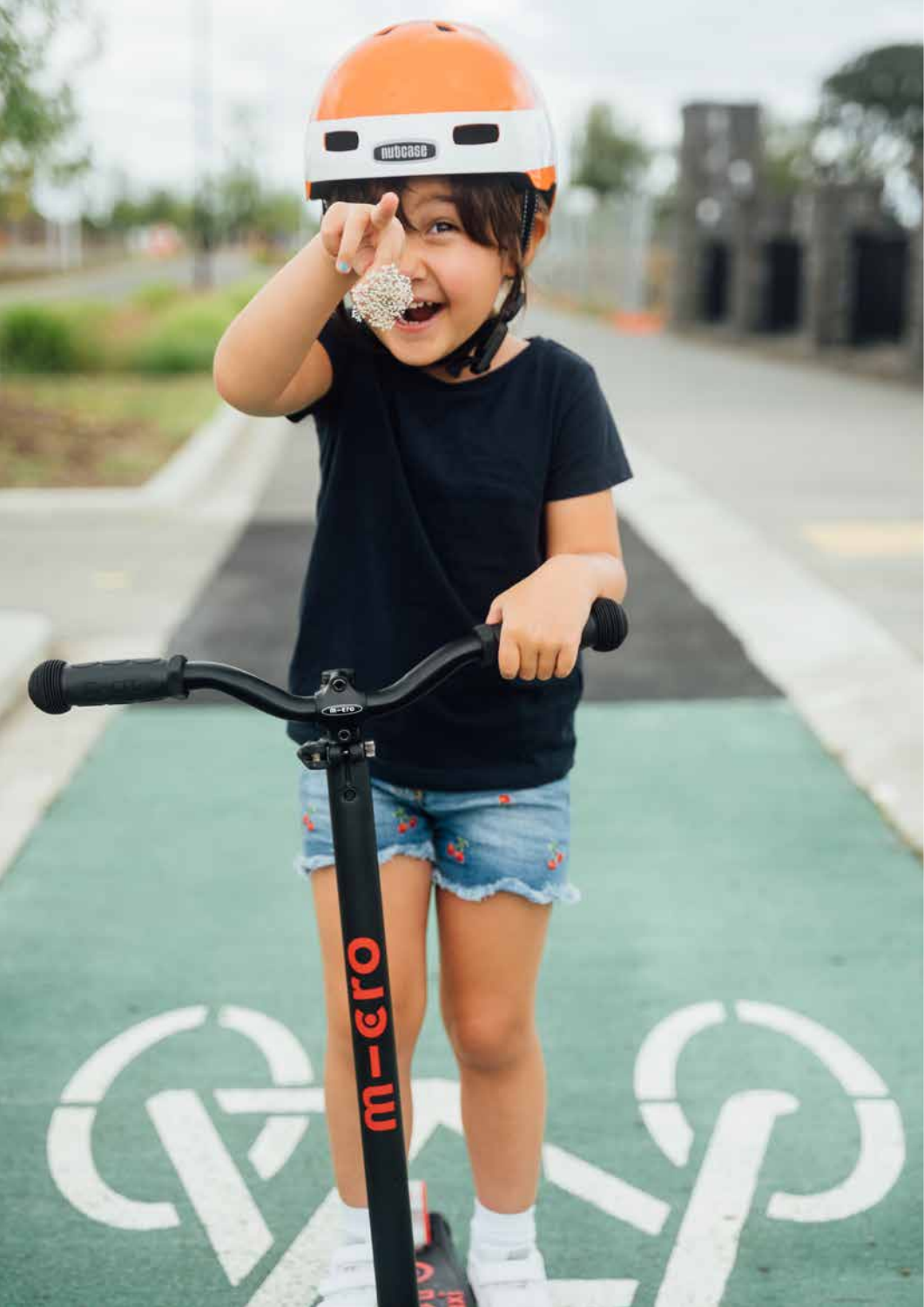